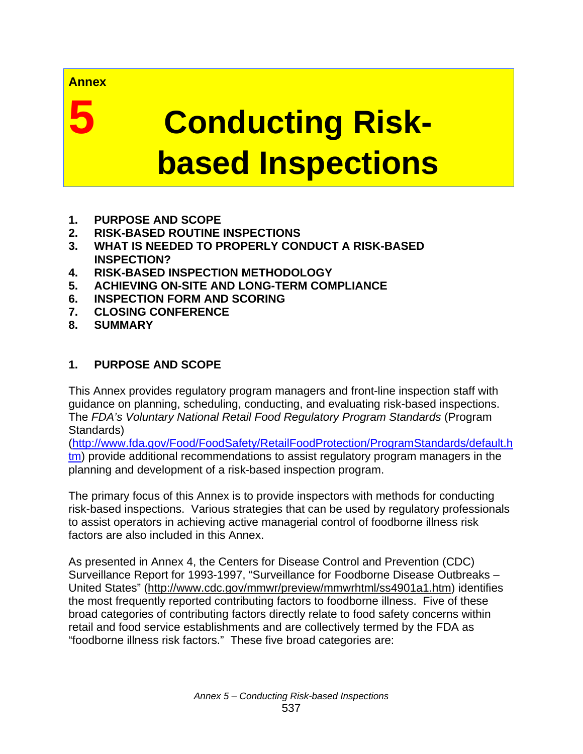#### **Annex**

# **5 Conducting Risk based Inspections**

- **1. PURPOSE AND SCOPE**
- **2. RISK-BASED ROUTINE INSPECTIONS**
- **3. WHAT IS NEEDED TO PROPERLY CONDUCT A RISK-BASED INSPECTION?**
- **4. RISK-BASED INSPECTION METHODOLOGY**
- **5. ACHIEVING ON-SITE AND LONG-TERM COMPLIANCE**
- **6. INSPECTION FORM AND SCORING**
- **7. CLOSING CONFERENCE**
- **8. SUMMARY**

# **1. PURPOSE AND SCOPE**

This Annex provides regulatory program managers and front-line inspection staff with guidance on planning, scheduling, conducting, and evaluating risk-based inspections. The *FDA's Voluntary National Retail Food Regulatory Program Standards* (Program Standards)

(http://www.fda.gov/Food/FoodSafety/RetailFoodProtection/ProgramStandards/default.h tm) provide additional recommendations to assist regulatory program managers in the planning and development of a risk-based inspection program.

The primary focus of this Annex is to provide inspectors with methods for conducting risk-based inspections. Various strategies that can be used by regulatory professionals to assist operators in achieving active managerial control of foodborne illness risk factors are also included in this Annex.

As presented in Annex 4, the Centers for Disease Control and Prevention (CDC) Surveillance Report for 1993-1997, "Surveillance for Foodborne Disease Outbreaks – United States" (http://www.cdc.gov/mmwr/preview/mmwrhtml/ss4901a1.htm) identifies the most frequently reported contributing factors to foodborne illness. Five of these broad categories of contributing factors directly relate to food safety concerns within retail and food service establishments and are collectively termed by the FDA as "foodborne illness risk factors." These five broad categories are: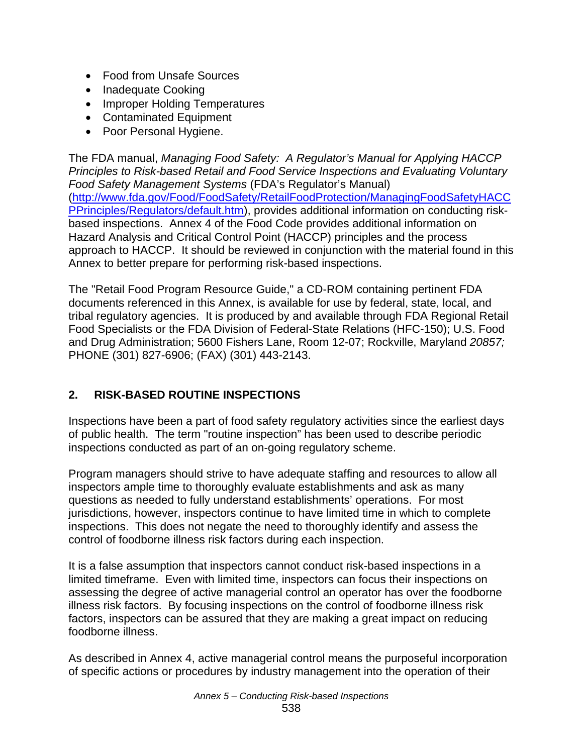- Food from Unsafe Sources
- Inadequate Cooking
- Improper Holding Temperatures
- Contaminated Equipment
- Poor Personal Hygiene.

The FDA manual, *Managing Food Safety: A Regulator's Manual for Applying HACCP Principles to Risk-based Retail and Food Service Inspections and Evaluating Voluntary Food Safety Management Systems* (FDA's Regulator's Manual) (http://www.fda.gov/Food/FoodSafety/RetailFoodProtection/ManagingFoodSafetyHACC PPrinciples/Regulators/default.htm), provides additional information on conducting riskbased inspections. Annex 4 of the Food Code provides additional information on Hazard Analysis and Critical Control Point (HACCP) principles and the process approach to HACCP. It should be reviewed in conjunction with the material found in this Annex to better prepare for performing risk-based inspections.

The "Retail Food Program Resource Guide," a CD-ROM containing pertinent FDA documents referenced in this Annex, is available for use by federal, state, local, and tribal regulatory agencies. It is produced by and available through FDA Regional Retail Food Specialists or the FDA Division of Federal-State Relations (HFC-150); U.S. Food and Drug Administration; 5600 Fishers Lane, Room 12-07; Rockville, Maryland *20857;*  PHONE (301) 827-6906; (FAX) (301) 443-2143.

# **2. RISK-BASED ROUTINE INSPECTIONS**

Inspections have been a part of food safety regulatory activities since the earliest days of public health. The term "routine inspection" has been used to describe periodic inspections conducted as part of an on-going regulatory scheme.

Program managers should strive to have adequate staffing and resources to allow all inspectors ample time to thoroughly evaluate establishments and ask as many questions as needed to fully understand establishments' operations. For most jurisdictions, however, inspectors continue to have limited time in which to complete inspections. This does not negate the need to thoroughly identify and assess the control of foodborne illness risk factors during each inspection.

It is a false assumption that inspectors cannot conduct risk-based inspections in a limited timeframe. Even with limited time, inspectors can focus their inspections on assessing the degree of active managerial control an operator has over the foodborne illness risk factors. By focusing inspections on the control of foodborne illness risk factors, inspectors can be assured that they are making a great impact on reducing foodborne illness.

As described in Annex 4, active managerial control means the purposeful incorporation of specific actions or procedures by industry management into the operation of their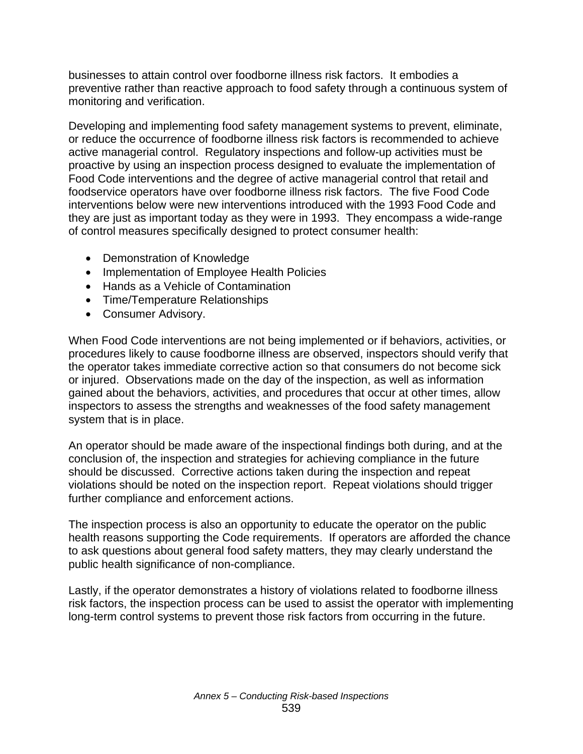businesses to attain control over foodborne illness risk factors. It embodies a preventive rather than reactive approach to food safety through a continuous system of monitoring and verification.

Developing and implementing food safety management systems to prevent, eliminate, or reduce the occurrence of foodborne illness risk factors is recommended to achieve active managerial control. Regulatory inspections and follow-up activities must be proactive by using an inspection process designed to evaluate the implementation of Food Code interventions and the degree of active managerial control that retail and foodservice operators have over foodborne illness risk factors. The five Food Code interventions below were new interventions introduced with the 1993 Food Code and they are just as important today as they were in 1993. They encompass a wide-range of control measures specifically designed to protect consumer health:

- Demonstration of Knowledge
- Implementation of Employee Health Policies
- Hands as a Vehicle of Contamination
- Time/Temperature Relationships
- Consumer Advisory.

When Food Code interventions are not being implemented or if behaviors, activities, or procedures likely to cause foodborne illness are observed, inspectors should verify that the operator takes immediate corrective action so that consumers do not become sick or injured. Observations made on the day of the inspection, as well as information gained about the behaviors, activities, and procedures that occur at other times, allow inspectors to assess the strengths and weaknesses of the food safety management system that is in place.

An operator should be made aware of the inspectional findings both during, and at the conclusion of, the inspection and strategies for achieving compliance in the future should be discussed. Corrective actions taken during the inspection and repeat violations should be noted on the inspection report. Repeat violations should trigger further compliance and enforcement actions.

The inspection process is also an opportunity to educate the operator on the public health reasons supporting the Code requirements. If operators are afforded the chance to ask questions about general food safety matters, they may clearly understand the public health significance of non-compliance.

Lastly, if the operator demonstrates a history of violations related to foodborne illness risk factors, the inspection process can be used to assist the operator with implementing long-term control systems to prevent those risk factors from occurring in the future.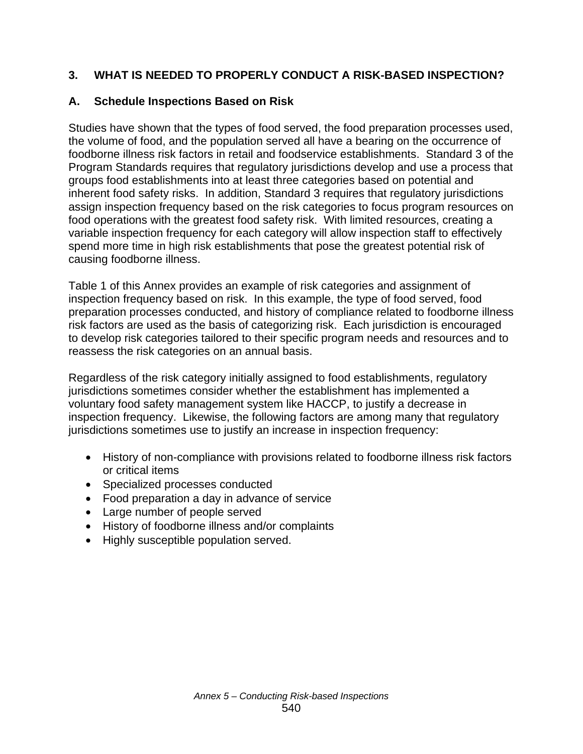# **3. WHAT IS NEEDED TO PROPERLY CONDUCT A RISK-BASED INSPECTION?**

#### **A. Schedule Inspections Based on Risk**

Studies have shown that the types of food served, the food preparation processes used, the volume of food, and the population served all have a bearing on the occurrence of foodborne illness risk factors in retail and foodservice establishments. Standard 3 of the Program Standards requires that regulatory jurisdictions develop and use a process that groups food establishments into at least three categories based on potential and inherent food safety risks. In addition, Standard 3 requires that regulatory jurisdictions assign inspection frequency based on the risk categories to focus program resources on food operations with the greatest food safety risk. With limited resources, creating a variable inspection frequency for each category will allow inspection staff to effectively spend more time in high risk establishments that pose the greatest potential risk of causing foodborne illness.

Table 1 of this Annex provides an example of risk categories and assignment of inspection frequency based on risk. In this example, the type of food served, food preparation processes conducted, and history of compliance related to foodborne illness risk factors are used as the basis of categorizing risk. Each jurisdiction is encouraged to develop risk categories tailored to their specific program needs and resources and to reassess the risk categories on an annual basis.

Regardless of the risk category initially assigned to food establishments, regulatory jurisdictions sometimes consider whether the establishment has implemented a voluntary food safety management system like HACCP, to justify a decrease in inspection frequency. Likewise, the following factors are among many that regulatory jurisdictions sometimes use to justify an increase in inspection frequency:

- History of non-compliance with provisions related to foodborne illness risk factors or critical items
- Specialized processes conducted
- Food preparation a day in advance of service
- Large number of people served
- History of foodborne illness and/or complaints
- Highly susceptible population served.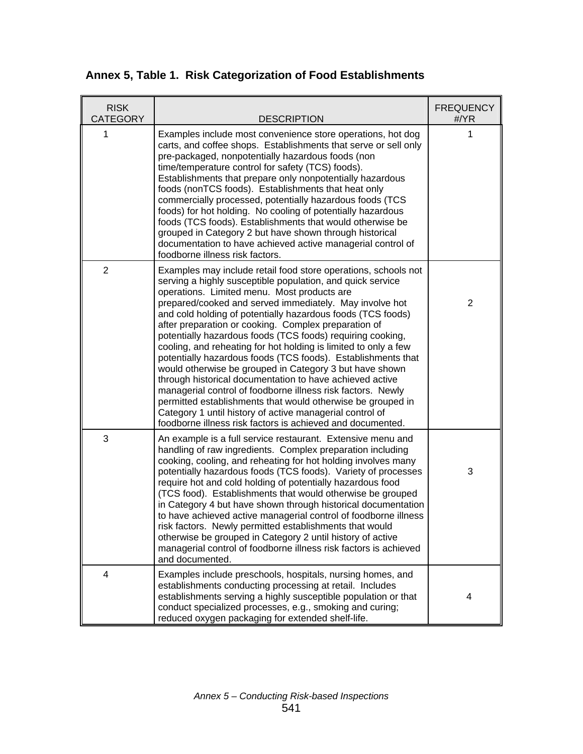| Annex 5, Table 1. Risk Categorization of Food Establishments |
|--------------------------------------------------------------|
|                                                              |

| <b>RISK</b><br><b>CATEGORY</b> | <b>DESCRIPTION</b>                                                                                                                                                                                                                                                                                                                                                                                                                                                                                                                                                                                                                                                                                                                                                                                                                                                                                                                            | <b>FREQUENCY</b><br>#/YR |
|--------------------------------|-----------------------------------------------------------------------------------------------------------------------------------------------------------------------------------------------------------------------------------------------------------------------------------------------------------------------------------------------------------------------------------------------------------------------------------------------------------------------------------------------------------------------------------------------------------------------------------------------------------------------------------------------------------------------------------------------------------------------------------------------------------------------------------------------------------------------------------------------------------------------------------------------------------------------------------------------|--------------------------|
| 1                              | Examples include most convenience store operations, hot dog<br>carts, and coffee shops. Establishments that serve or sell only<br>pre-packaged, nonpotentially hazardous foods (non<br>time/temperature control for safety (TCS) foods).<br>Establishments that prepare only nonpotentially hazardous<br>foods (nonTCS foods). Establishments that heat only<br>commercially processed, potentially hazardous foods (TCS<br>foods) for hot holding. No cooling of potentially hazardous<br>foods (TCS foods). Establishments that would otherwise be<br>grouped in Category 2 but have shown through historical<br>documentation to have achieved active managerial control of<br>foodborne illness risk factors.                                                                                                                                                                                                                             | 1                        |
| $\overline{2}$                 | Examples may include retail food store operations, schools not<br>serving a highly susceptible population, and quick service<br>operations. Limited menu. Most products are<br>prepared/cooked and served immediately. May involve hot<br>and cold holding of potentially hazardous foods (TCS foods)<br>after preparation or cooking. Complex preparation of<br>potentially hazardous foods (TCS foods) requiring cooking,<br>cooling, and reheating for hot holding is limited to only a few<br>potentially hazardous foods (TCS foods). Establishments that<br>would otherwise be grouped in Category 3 but have shown<br>through historical documentation to have achieved active<br>managerial control of foodborne illness risk factors. Newly<br>permitted establishments that would otherwise be grouped in<br>Category 1 until history of active managerial control of<br>foodborne illness risk factors is achieved and documented. | $\overline{2}$           |
| 3                              | An example is a full service restaurant. Extensive menu and<br>handling of raw ingredients. Complex preparation including<br>cooking, cooling, and reheating for hot holding involves many<br>potentially hazardous foods (TCS foods). Variety of processes<br>require hot and cold holding of potentially hazardous food<br>(TCS food). Establishments that would otherwise be grouped<br>in Category 4 but have shown through historical documentation<br>to have achieved active managerial control of foodborne illness<br>risk factors. Newly permitted establishments that would<br>otherwise be grouped in Category 2 until history of active<br>managerial control of foodborne illness risk factors is achieved<br>and documented.                                                                                                                                                                                                   | 3                        |
| 4                              | Examples include preschools, hospitals, nursing homes, and<br>establishments conducting processing at retail. Includes<br>establishments serving a highly susceptible population or that<br>conduct specialized processes, e.g., smoking and curing;<br>reduced oxygen packaging for extended shelf-life.                                                                                                                                                                                                                                                                                                                                                                                                                                                                                                                                                                                                                                     | 4                        |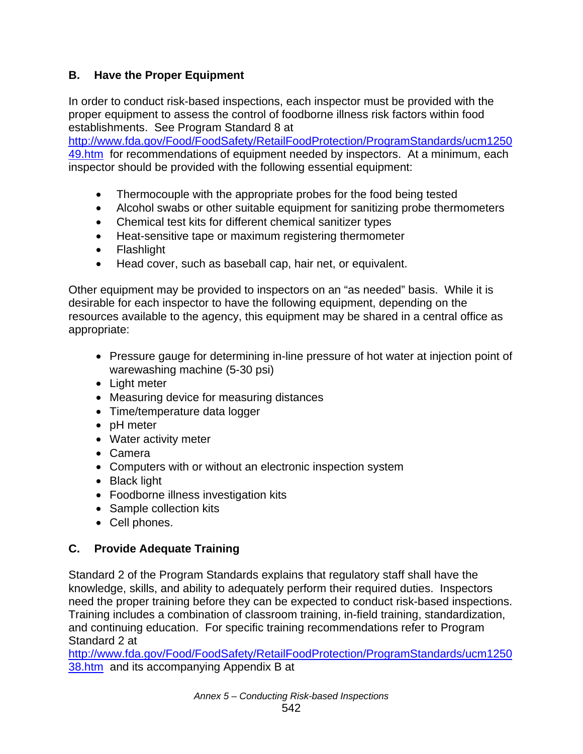# **B. Have the Proper Equipment**

In order to conduct risk-based inspections, each inspector must be provided with the proper equipment to assess the control of foodborne illness risk factors within food establishments. See Program Standard 8 at

http://www.fda.gov/Food/FoodSafety/RetailFoodProtection/ProgramStandards/ucm1250 49.htm for recommendations of equipment needed by inspectors. At a minimum, each inspector should be provided with the following essential equipment:

- Thermocouple with the appropriate probes for the food being tested
- Alcohol swabs or other suitable equipment for sanitizing probe thermometers
- Chemical test kits for different chemical sanitizer types
- Heat-sensitive tape or maximum registering thermometer
- Flashlight
- Head cover, such as baseball cap, hair net, or equivalent.

Other equipment may be provided to inspectors on an "as needed" basis. While it is desirable for each inspector to have the following equipment, depending on the resources available to the agency, this equipment may be shared in a central office as appropriate:

- Pressure gauge for determining in-line pressure of hot water at injection point of warewashing machine (5-30 psi)
- Light meter
- Measuring device for measuring distances
- Time/temperature data logger
- pH meter
- Water activity meter
- Camera
- Computers with or without an electronic inspection system
- Black light
- Foodborne illness investigation kits
- Sample collection kits
- Cell phones.

# **C. Provide Adequate Training**

Standard 2 of the Program Standards explains that regulatory staff shall have the knowledge, skills, and ability to adequately perform their required duties. Inspectors need the proper training before they can be expected to conduct risk-based inspections. Training includes a combination of classroom training, in-field training, standardization, and continuing education. For specific training recommendations refer to Program Standard 2 at

http://www.fda.gov/Food/FoodSafety/RetailFoodProtection/ProgramStandards/ucm1250 38.htm and its accompanying Appendix B at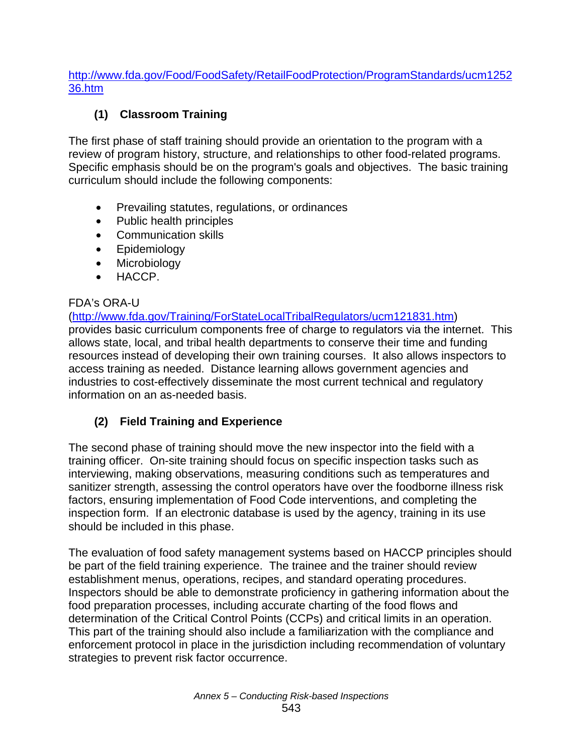http://www.fda.gov/Food/FoodSafety/RetailFoodProtection/ProgramStandards/ucm1252 36.htm

# **(1) Classroom Training**

The first phase of staff training should provide an orientation to the program with a review of program history, structure, and relationships to other food-related programs. Specific emphasis should be on the program's goals and objectives. The basic training curriculum should include the following components:

- Prevailing statutes, regulations, or ordinances
- Public health principles
- Communication skills
- Epidemiology
- Microbiology
- HACCP.

#### FDA's ORA-U

(http://www.fda.gov/Training/ForStateLocalTribalRegulators/ucm121831.htm) provides basic curriculum components free of charge to regulators via the internet. This allows state, local, and tribal health departments to conserve their time and funding resources instead of developing their own training courses. It also allows inspectors to access training as needed. Distance learning allows government agencies and industries to cost-effectively disseminate the most current technical and regulatory information on an as-needed basis.

#### **(2) Field Training and Experience**

The second phase of training should move the new inspector into the field with a training officer. On-site training should focus on specific inspection tasks such as interviewing, making observations, measuring conditions such as temperatures and sanitizer strength, assessing the control operators have over the foodborne illness risk factors, ensuring implementation of Food Code interventions, and completing the inspection form. If an electronic database is used by the agency, training in its use should be included in this phase.

The evaluation of food safety management systems based on HACCP principles should be part of the field training experience. The trainee and the trainer should review establishment menus, operations, recipes, and standard operating procedures. Inspectors should be able to demonstrate proficiency in gathering information about the food preparation processes, including accurate charting of the food flows and determination of the Critical Control Points (CCPs) and critical limits in an operation. This part of the training should also include a familiarization with the compliance and enforcement protocol in place in the jurisdiction including recommendation of voluntary strategies to prevent risk factor occurrence.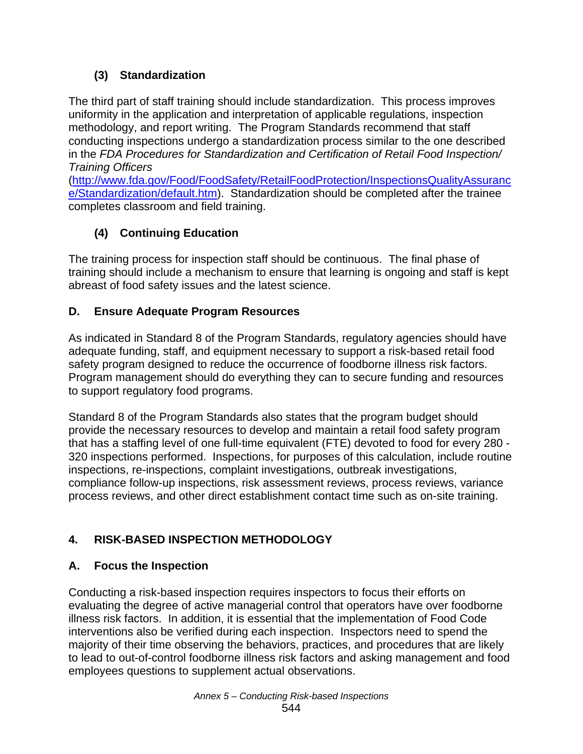# **(3) Standardization**

The third part of staff training should include standardization. This process improves uniformity in the application and interpretation of applicable regulations, inspection methodology, and report writing. The Program Standards recommend that staff conducting inspections undergo a standardization process similar to the one described in the *FDA Procedures for Standardization and Certification of Retail Food Inspection/ Training Officers*

(http://www.fda.gov/Food/FoodSafety/RetailFoodProtection/InspectionsQualityAssuranc e/Standardization/default.htm). Standardization should be completed after the trainee completes classroom and field training.

# **(4) Continuing Education**

The training process for inspection staff should be continuous. The final phase of training should include a mechanism to ensure that learning is ongoing and staff is kept abreast of food safety issues and the latest science.

# **D. Ensure Adequate Program Resources**

As indicated in Standard 8 of the Program Standards, regulatory agencies should have adequate funding, staff, and equipment necessary to support a risk-based retail food safety program designed to reduce the occurrence of foodborne illness risk factors. Program management should do everything they can to secure funding and resources to support regulatory food programs.

Standard 8 of the Program Standards also states that the program budget should provide the necessary resources to develop and maintain a retail food safety program that has a staffing level of one full-time equivalent (FTE) devoted to food for every 280 - 320 inspections performed. Inspections, for purposes of this calculation, include routine inspections, re-inspections, complaint investigations, outbreak investigations, compliance follow-up inspections, risk assessment reviews, process reviews, variance process reviews, and other direct establishment contact time such as on-site training.

# **4. RISK-BASED INSPECTION METHODOLOGY**

# **A. Focus the Inspection**

Conducting a risk-based inspection requires inspectors to focus their efforts on evaluating the degree of active managerial control that operators have over foodborne illness risk factors. In addition, it is essential that the implementation of Food Code interventions also be verified during each inspection. Inspectors need to spend the majority of their time observing the behaviors, practices, and procedures that are likely to lead to out-of-control foodborne illness risk factors and asking management and food employees questions to supplement actual observations.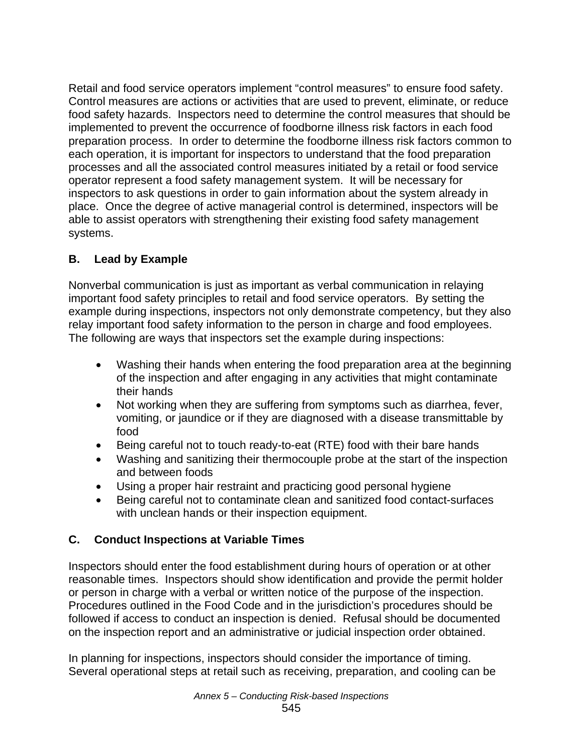Retail and food service operators implement "control measures" to ensure food safety. Control measures are actions or activities that are used to prevent, eliminate, or reduce food safety hazards. Inspectors need to determine the control measures that should be implemented to prevent the occurrence of foodborne illness risk factors in each food preparation process. In order to determine the foodborne illness risk factors common to each operation, it is important for inspectors to understand that the food preparation processes and all the associated control measures initiated by a retail or food service operator represent a food safety management system. It will be necessary for inspectors to ask questions in order to gain information about the system already in place. Once the degree of active managerial control is determined, inspectors will be able to assist operators with strengthening their existing food safety management systems.

# **B. Lead by Example**

Nonverbal communication is just as important as verbal communication in relaying important food safety principles to retail and food service operators. By setting the example during inspections, inspectors not only demonstrate competency, but they also relay important food safety information to the person in charge and food employees. The following are ways that inspectors set the example during inspections:

- Washing their hands when entering the food preparation area at the beginning of the inspection and after engaging in any activities that might contaminate their hands
- Not working when they are suffering from symptoms such as diarrhea, fever, vomiting, or jaundice or if they are diagnosed with a disease transmittable by food
- Being careful not to touch ready-to-eat (RTE) food with their bare hands
- Washing and sanitizing their thermocouple probe at the start of the inspection and between foods
- Using a proper hair restraint and practicing good personal hygiene
- Being careful not to contaminate clean and sanitized food contact-surfaces with unclean hands or their inspection equipment.

# **C. Conduct Inspections at Variable Times**

Inspectors should enter the food establishment during hours of operation or at other reasonable times. Inspectors should show identification and provide the permit holder or person in charge with a verbal or written notice of the purpose of the inspection. Procedures outlined in the Food Code and in the jurisdiction's procedures should be followed if access to conduct an inspection is denied. Refusal should be documented on the inspection report and an administrative or judicial inspection order obtained.

In planning for inspections, inspectors should consider the importance of timing. Several operational steps at retail such as receiving, preparation, and cooling can be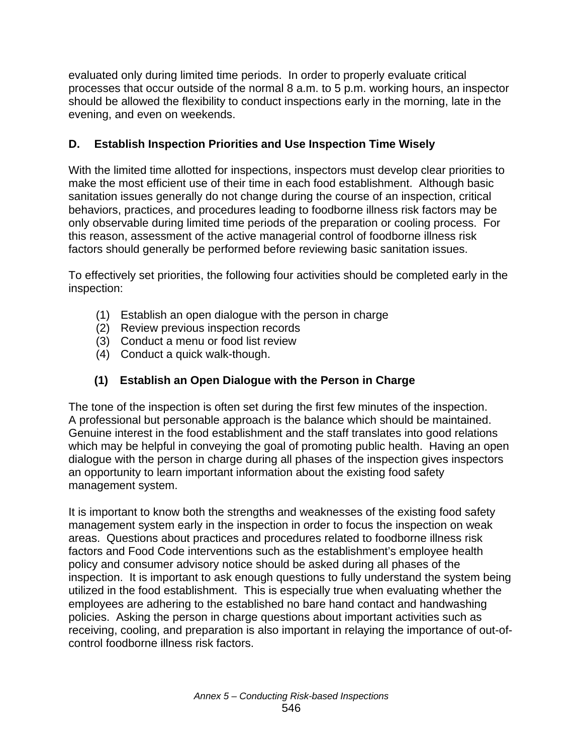evaluated only during limited time periods. In order to properly evaluate critical processes that occur outside of the normal 8 a.m. to 5 p.m. working hours, an inspector should be allowed the flexibility to conduct inspections early in the morning, late in the evening, and even on weekends.

# **D. Establish Inspection Priorities and Use Inspection Time Wisely**

With the limited time allotted for inspections, inspectors must develop clear priorities to make the most efficient use of their time in each food establishment. Although basic sanitation issues generally do not change during the course of an inspection, critical behaviors, practices, and procedures leading to foodborne illness risk factors may be only observable during limited time periods of the preparation or cooling process. For this reason, assessment of the active managerial control of foodborne illness risk factors should generally be performed before reviewing basic sanitation issues.

To effectively set priorities, the following four activities should be completed early in the inspection:

- (1) Establish an open dialogue with the person in charge
- (2) Review previous inspection records
- (3) Conduct a menu or food list review
- (4) Conduct a quick walk-though.

# **(1) Establish an Open Dialogue with the Person in Charge**

The tone of the inspection is often set during the first few minutes of the inspection. A professional but personable approach is the balance which should be maintained. Genuine interest in the food establishment and the staff translates into good relations which may be helpful in conveying the goal of promoting public health. Having an open dialogue with the person in charge during all phases of the inspection gives inspectors an opportunity to learn important information about the existing food safety management system.

It is important to know both the strengths and weaknesses of the existing food safety management system early in the inspection in order to focus the inspection on weak areas. Questions about practices and procedures related to foodborne illness risk factors and Food Code interventions such as the establishment's employee health policy and consumer advisory notice should be asked during all phases of the inspection. It is important to ask enough questions to fully understand the system being utilized in the food establishment. This is especially true when evaluating whether the employees are adhering to the established no bare hand contact and handwashing policies. Asking the person in charge questions about important activities such as receiving, cooling, and preparation is also important in relaying the importance of out-ofcontrol foodborne illness risk factors.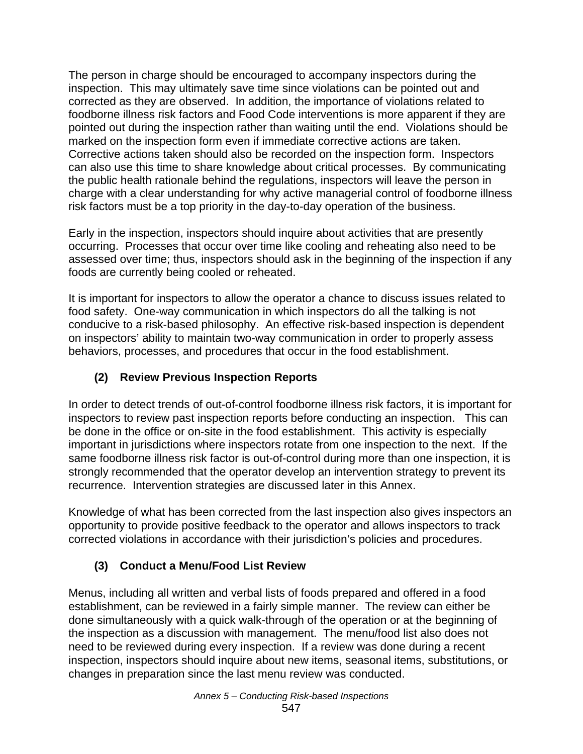The person in charge should be encouraged to accompany inspectors during the inspection. This may ultimately save time since violations can be pointed out and corrected as they are observed. In addition, the importance of violations related to foodborne illness risk factors and Food Code interventions is more apparent if they are pointed out during the inspection rather than waiting until the end. Violations should be marked on the inspection form even if immediate corrective actions are taken. Corrective actions taken should also be recorded on the inspection form. Inspectors can also use this time to share knowledge about critical processes. By communicating the public health rationale behind the regulations, inspectors will leave the person in charge with a clear understanding for why active managerial control of foodborne illness risk factors must be a top priority in the day-to-day operation of the business.

Early in the inspection, inspectors should inquire about activities that are presently occurring. Processes that occur over time like cooling and reheating also need to be assessed over time; thus, inspectors should ask in the beginning of the inspection if any foods are currently being cooled or reheated.

It is important for inspectors to allow the operator a chance to discuss issues related to food safety. One-way communication in which inspectors do all the talking is not conducive to a risk-based philosophy. An effective risk-based inspection is dependent on inspectors' ability to maintain two-way communication in order to properly assess behaviors, processes, and procedures that occur in the food establishment.

# **(2) Review Previous Inspection Reports**

In order to detect trends of out-of-control foodborne illness risk factors, it is important for inspectors to review past inspection reports before conducting an inspection. This can be done in the office or on-site in the food establishment. This activity is especially important in jurisdictions where inspectors rotate from one inspection to the next. If the same foodborne illness risk factor is out-of-control during more than one inspection, it is strongly recommended that the operator develop an intervention strategy to prevent its recurrence. Intervention strategies are discussed later in this Annex.

Knowledge of what has been corrected from the last inspection also gives inspectors an opportunity to provide positive feedback to the operator and allows inspectors to track corrected violations in accordance with their jurisdiction's policies and procedures.

# **(3) Conduct a Menu/Food List Review**

Menus, including all written and verbal lists of foods prepared and offered in a food establishment, can be reviewed in a fairly simple manner. The review can either be done simultaneously with a quick walk-through of the operation or at the beginning of the inspection as a discussion with management. The menu/food list also does not need to be reviewed during every inspection. If a review was done during a recent inspection, inspectors should inquire about new items, seasonal items, substitutions, or changes in preparation since the last menu review was conducted.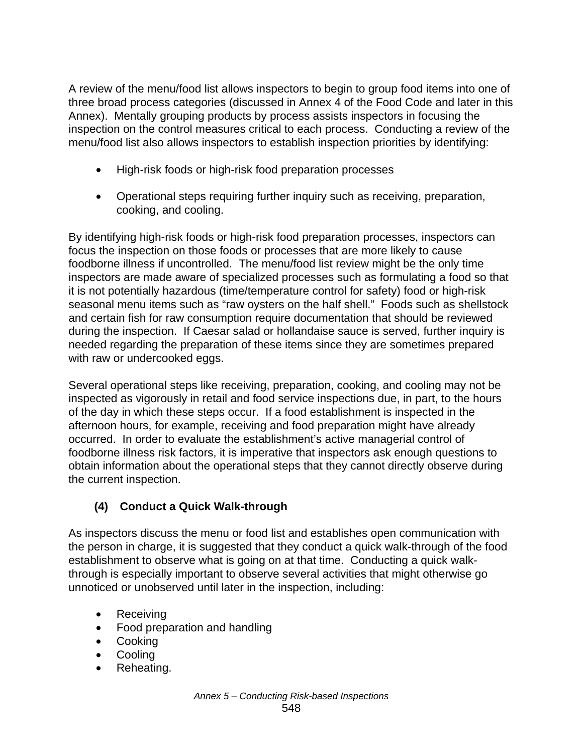A review of the menu/food list allows inspectors to begin to group food items into one of three broad process categories (discussed in Annex 4 of the Food Code and later in this Annex). Mentally grouping products by process assists inspectors in focusing the inspection on the control measures critical to each process. Conducting a review of the menu/food list also allows inspectors to establish inspection priorities by identifying:

- High-risk foods or high-risk food preparation processes
- Operational steps requiring further inquiry such as receiving, preparation, cooking, and cooling.

By identifying high-risk foods or high-risk food preparation processes, inspectors can focus the inspection on those foods or processes that are more likely to cause foodborne illness if uncontrolled. The menu/food list review might be the only time inspectors are made aware of specialized processes such as formulating a food so that it is not potentially hazardous (time/temperature control for safety) food or high-risk seasonal menu items such as "raw oysters on the half shell." Foods such as shellstock and certain fish for raw consumption require documentation that should be reviewed during the inspection. If Caesar salad or hollandaise sauce is served, further inquiry is needed regarding the preparation of these items since they are sometimes prepared with raw or undercooked eggs.

Several operational steps like receiving, preparation, cooking, and cooling may not be inspected as vigorously in retail and food service inspections due, in part, to the hours of the day in which these steps occur. If a food establishment is inspected in the afternoon hours, for example, receiving and food preparation might have already occurred. In order to evaluate the establishment's active managerial control of foodborne illness risk factors, it is imperative that inspectors ask enough questions to obtain information about the operational steps that they cannot directly observe during the current inspection.

# **(4) Conduct a Quick Walk-through**

As inspectors discuss the menu or food list and establishes open communication with the person in charge, it is suggested that they conduct a quick walk-through of the food establishment to observe what is going on at that time. Conducting a quick walkthrough is especially important to observe several activities that might otherwise go unnoticed or unobserved until later in the inspection, including:

- Receiving
- Food preparation and handling
- Cooking
- Cooling
- Reheating.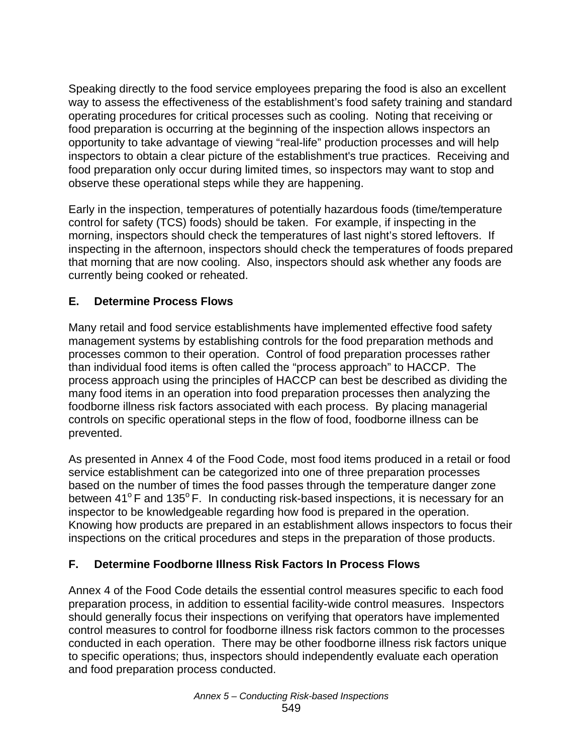Speaking directly to the food service employees preparing the food is also an excellent way to assess the effectiveness of the establishment's food safety training and standard operating procedures for critical processes such as cooling. Noting that receiving or food preparation is occurring at the beginning of the inspection allows inspectors an opportunity to take advantage of viewing "real-life" production processes and will help inspectors to obtain a clear picture of the establishment's true practices. Receiving and food preparation only occur during limited times, so inspectors may want to stop and observe these operational steps while they are happening.

Early in the inspection, temperatures of potentially hazardous foods (time/temperature control for safety (TCS) foods) should be taken. For example, if inspecting in the morning, inspectors should check the temperatures of last night's stored leftovers. If inspecting in the afternoon, inspectors should check the temperatures of foods prepared that morning that are now cooling. Also, inspectors should ask whether any foods are currently being cooked or reheated.

#### **E. Determine Process Flows**

Many retail and food service establishments have implemented effective food safety management systems by establishing controls for the food preparation methods and processes common to their operation. Control of food preparation processes rather than individual food items is often called the "process approach" to HACCP. The process approach using the principles of HACCP can best be described as dividing the many food items in an operation into food preparation processes then analyzing the foodborne illness risk factors associated with each process. By placing managerial controls on specific operational steps in the flow of food, foodborne illness can be prevented.

As presented in Annex 4 of the Food Code, most food items produced in a retail or food service establishment can be categorized into one of three preparation processes based on the number of times the food passes through the temperature danger zone between  $41^{\circ}$  F and  $135^{\circ}$  F. In conducting risk-based inspections, it is necessary for an inspector to be knowledgeable regarding how food is prepared in the operation. Knowing how products are prepared in an establishment allows inspectors to focus their inspections on the critical procedures and steps in the preparation of those products.

#### **F. Determine Foodborne Illness Risk Factors In Process Flows**

Annex 4 of the Food Code details the essential control measures specific to each food preparation process, in addition to essential facility-wide control measures. Inspectors should generally focus their inspections on verifying that operators have implemented control measures to control for foodborne illness risk factors common to the processes conducted in each operation. There may be other foodborne illness risk factors unique to specific operations; thus, inspectors should independently evaluate each operation and food preparation process conducted.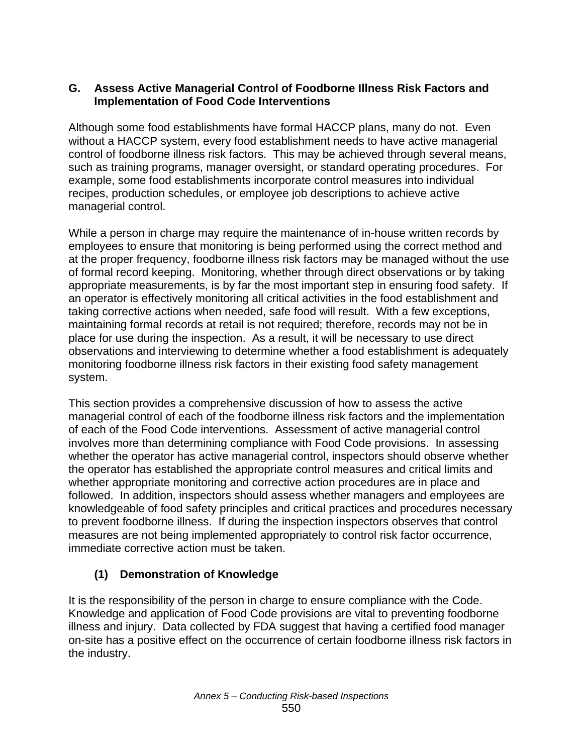#### **G. Assess Active Managerial Control of Foodborne Illness Risk Factors and Implementation of Food Code Interventions**

Although some food establishments have formal HACCP plans, many do not. Even without a HACCP system, every food establishment needs to have active managerial control of foodborne illness risk factors. This may be achieved through several means, such as training programs, manager oversight, or standard operating procedures. For example, some food establishments incorporate control measures into individual recipes, production schedules, or employee job descriptions to achieve active managerial control.

While a person in charge may require the maintenance of in-house written records by employees to ensure that monitoring is being performed using the correct method and at the proper frequency, foodborne illness risk factors may be managed without the use of formal record keeping. Monitoring, whether through direct observations or by taking appropriate measurements, is by far the most important step in ensuring food safety. If an operator is effectively monitoring all critical activities in the food establishment and taking corrective actions when needed, safe food will result. With a few exceptions, maintaining formal records at retail is not required; therefore, records may not be in place for use during the inspection. As a result, it will be necessary to use direct observations and interviewing to determine whether a food establishment is adequately monitoring foodborne illness risk factors in their existing food safety management system.

This section provides a comprehensive discussion of how to assess the active managerial control of each of the foodborne illness risk factors and the implementation of each of the Food Code interventions. Assessment of active managerial control involves more than determining compliance with Food Code provisions. In assessing whether the operator has active managerial control, inspectors should observe whether the operator has established the appropriate control measures and critical limits and whether appropriate monitoring and corrective action procedures are in place and followed. In addition, inspectors should assess whether managers and employees are knowledgeable of food safety principles and critical practices and procedures necessary to prevent foodborne illness. If during the inspection inspectors observes that control measures are not being implemented appropriately to control risk factor occurrence, immediate corrective action must be taken.

# **(1) Demonstration of Knowledge**

It is the responsibility of the person in charge to ensure compliance with the Code. Knowledge and application of Food Code provisions are vital to preventing foodborne illness and injury. Data collected by FDA suggest that having a certified food manager on-site has a positive effect on the occurrence of certain foodborne illness risk factors in the industry.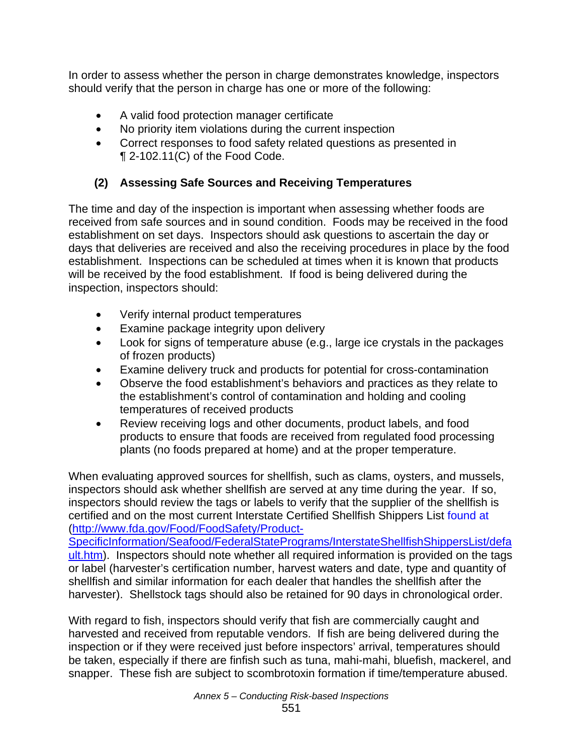In order to assess whether the person in charge demonstrates knowledge, inspectors should verify that the person in charge has one or more of the following:

- A valid food protection manager certificate
- No priority item violations during the current inspection
- Correct responses to food safety related questions as presented in ¶ 2-102.11(C) of the Food Code.

# **(2) Assessing Safe Sources and Receiving Temperatures**

The time and day of the inspection is important when assessing whether foods are received from safe sources and in sound condition. Foods may be received in the food establishment on set days. Inspectors should ask questions to ascertain the day or days that deliveries are received and also the receiving procedures in place by the food establishment. Inspections can be scheduled at times when it is known that products will be received by the food establishment. If food is being delivered during the inspection, inspectors should:

- Verify internal product temperatures
- Examine package integrity upon delivery
- Look for signs of temperature abuse (e.g., large ice crystals in the packages of frozen products)
- Examine delivery truck and products for potential for cross-contamination
- Observe the food establishment's behaviors and practices as they relate to the establishment's control of contamination and holding and cooling temperatures of received products
- Review receiving logs and other documents, product labels, and food products to ensure that foods are received from regulated food processing plants (no foods prepared at home) and at the proper temperature.

When evaluating approved sources for shellfish, such as clams, oysters, and mussels, inspectors should ask whether shellfish are served at any time during the year. If so, inspectors should review the tags or labels to verify that the supplier of the shellfish is certified and on the most current Interstate Certified Shellfish Shippers List found at (http://www.fda.gov/Food/FoodSafety/Product-

SpecificInformation/Seafood/FederalStatePrograms/InterstateShellfishShippersList/defa ult.htm). Inspectors should note whether all required information is provided on the tags or label (harvester's certification number, harvest waters and date, type and quantity of shellfish and similar information for each dealer that handles the shellfish after the harvester). Shellstock tags should also be retained for 90 days in chronological order.

With regard to fish, inspectors should verify that fish are commercially caught and harvested and received from reputable vendors. If fish are being delivered during the inspection or if they were received just before inspectors' arrival, temperatures should be taken, especially if there are finfish such as tuna, mahi-mahi, bluefish, mackerel, and snapper. These fish are subject to scombrotoxin formation if time/temperature abused.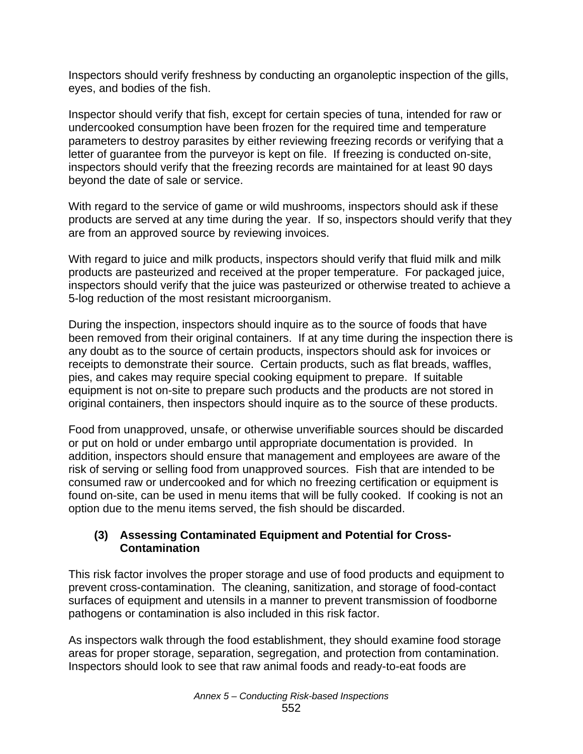Inspectors should verify freshness by conducting an organoleptic inspection of the gills, eyes, and bodies of the fish.

Inspector should verify that fish, except for certain species of tuna, intended for raw or undercooked consumption have been frozen for the required time and temperature parameters to destroy parasites by either reviewing freezing records or verifying that a letter of guarantee from the purveyor is kept on file. If freezing is conducted on-site, inspectors should verify that the freezing records are maintained for at least 90 days beyond the date of sale or service.

With regard to the service of game or wild mushrooms, inspectors should ask if these products are served at any time during the year. If so, inspectors should verify that they are from an approved source by reviewing invoices.

With regard to juice and milk products, inspectors should verify that fluid milk and milk products are pasteurized and received at the proper temperature. For packaged juice, inspectors should verify that the juice was pasteurized or otherwise treated to achieve a 5-log reduction of the most resistant microorganism.

During the inspection, inspectors should inquire as to the source of foods that have been removed from their original containers. If at any time during the inspection there is any doubt as to the source of certain products, inspectors should ask for invoices or receipts to demonstrate their source. Certain products, such as flat breads, waffles, pies, and cakes may require special cooking equipment to prepare. If suitable equipment is not on-site to prepare such products and the products are not stored in original containers, then inspectors should inquire as to the source of these products.

Food from unapproved, unsafe, or otherwise unverifiable sources should be discarded or put on hold or under embargo until appropriate documentation is provided. In addition, inspectors should ensure that management and employees are aware of the risk of serving or selling food from unapproved sources. Fish that are intended to be consumed raw or undercooked and for which no freezing certification or equipment is found on-site, can be used in menu items that will be fully cooked. If cooking is not an option due to the menu items served, the fish should be discarded.

#### **(3) Assessing Contaminated Equipment and Potential for Cross- Contamination**

This risk factor involves the proper storage and use of food products and equipment to prevent cross-contamination. The cleaning, sanitization, and storage of food-contact surfaces of equipment and utensils in a manner to prevent transmission of foodborne pathogens or contamination is also included in this risk factor.

As inspectors walk through the food establishment, they should examine food storage areas for proper storage, separation, segregation, and protection from contamination. Inspectors should look to see that raw animal foods and ready-to-eat foods are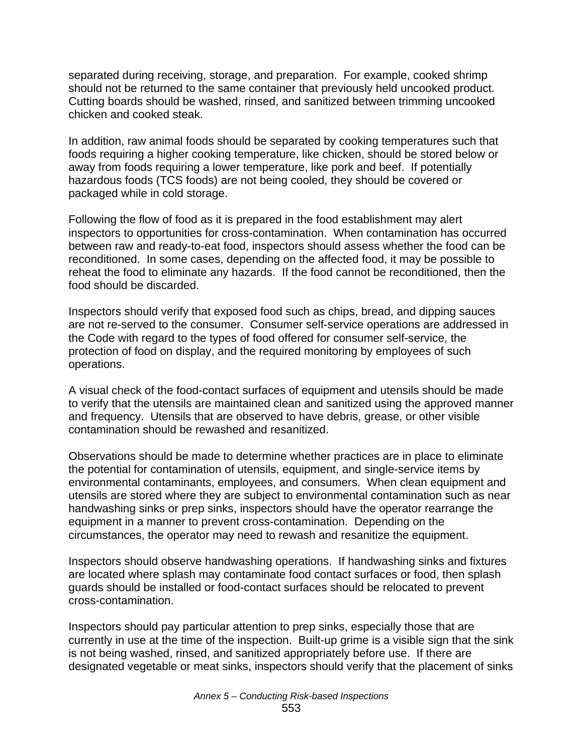separated during receiving, storage, and preparation. For example, cooked shrimp should not be returned to the same container that previously held uncooked product. Cutting boards should be washed, rinsed, and sanitized between trimming uncooked chicken and cooked steak.

In addition, raw animal foods should be separated by cooking temperatures such that foods requiring a higher cooking temperature, like chicken, should be stored below or away from foods requiring a lower temperature, like pork and beef. If potentially hazardous foods (TCS foods) are not being cooled, they should be covered or packaged while in cold storage.

Following the flow of food as it is prepared in the food establishment may alert inspectors to opportunities for cross-contamination. When contamination has occurred between raw and ready-to-eat food, inspectors should assess whether the food can be reconditioned. In some cases, depending on the affected food, it may be possible to reheat the food to eliminate any hazards. If the food cannot be reconditioned, then the food should be discarded.

Inspectors should verify that exposed food such as chips, bread, and dipping sauces are not re-served to the consumer. Consumer self-service operations are addressed in the Code with regard to the types of food offered for consumer self-service, the protection of food on display, and the required monitoring by employees of such operations.

A visual check of the food-contact surfaces of equipment and utensils should be made to verify that the utensils are maintained clean and sanitized using the approved manner and frequency. Utensils that are observed to have debris, grease, or other visible contamination should be rewashed and resanitized.

Observations should be made to determine whether practices are in place to eliminate the potential for contamination of utensils, equipment, and single-service items by environmental contaminants, employees, and consumers. When clean equipment and utensils are stored where they are subject to environmental contamination such as near handwashing sinks or prep sinks, inspectors should have the operator rearrange the equipment in a manner to prevent cross-contamination. Depending on the circumstances, the operator may need to rewash and resanitize the equipment.

Inspectors should observe handwashing operations. If handwashing sinks and fixtures are located where splash may contaminate food contact surfaces or food, then splash guards should be installed or food-contact surfaces should be relocated to prevent cross-contamination.

Inspectors should pay particular attention to prep sinks, especially those that are currently in use at the time of the inspection. Built-up grime is a visible sign that the sink is not being washed, rinsed, and sanitized appropriately before use. If there are designated vegetable or meat sinks, inspectors should verify that the placement of sinks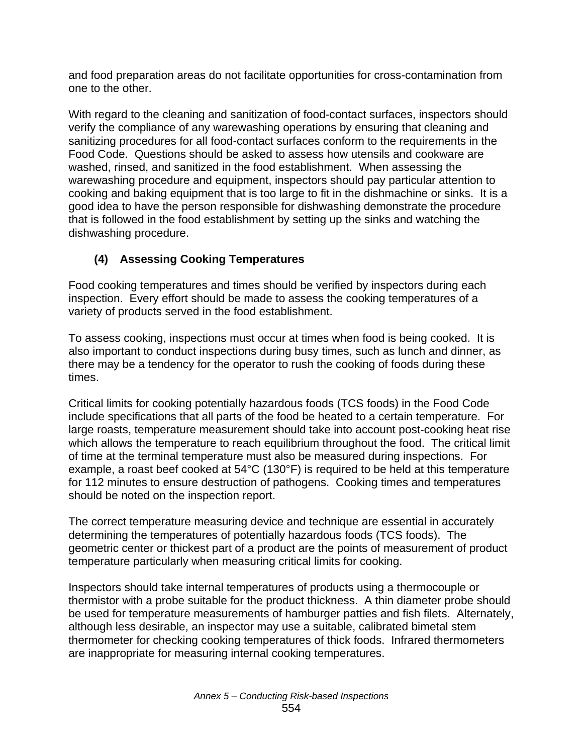and food preparation areas do not facilitate opportunities for cross-contamination from one to the other.

With regard to the cleaning and sanitization of food-contact surfaces, inspectors should verify the compliance of any warewashing operations by ensuring that cleaning and sanitizing procedures for all food-contact surfaces conform to the requirements in the Food Code. Questions should be asked to assess how utensils and cookware are washed, rinsed, and sanitized in the food establishment. When assessing the warewashing procedure and equipment, inspectors should pay particular attention to cooking and baking equipment that is too large to fit in the dishmachine or sinks. It is a good idea to have the person responsible for dishwashing demonstrate the procedure that is followed in the food establishment by setting up the sinks and watching the dishwashing procedure.

# **(4) Assessing Cooking Temperatures**

Food cooking temperatures and times should be verified by inspectors during each inspection. Every effort should be made to assess the cooking temperatures of a variety of products served in the food establishment.

To assess cooking, inspections must occur at times when food is being cooked. It is also important to conduct inspections during busy times, such as lunch and dinner, as there may be a tendency for the operator to rush the cooking of foods during these times.

Critical limits for cooking potentially hazardous foods (TCS foods) in the Food Code include specifications that all parts of the food be heated to a certain temperature. For large roasts, temperature measurement should take into account post-cooking heat rise which allows the temperature to reach equilibrium throughout the food. The critical limit of time at the terminal temperature must also be measured during inspections. For example, a roast beef cooked at 54°C (130°F) is required to be held at this temperature for 112 minutes to ensure destruction of pathogens. Cooking times and temperatures should be noted on the inspection report.

The correct temperature measuring device and technique are essential in accurately determining the temperatures of potentially hazardous foods (TCS foods). The geometric center or thickest part of a product are the points of measurement of product temperature particularly when measuring critical limits for cooking.

Inspectors should take internal temperatures of products using a thermocouple or thermistor with a probe suitable for the product thickness. A thin diameter probe should be used for temperature measurements of hamburger patties and fish filets. Alternately, although less desirable, an inspector may use a suitable, calibrated bimetal stem thermometer for checking cooking temperatures of thick foods. Infrared thermometers are inappropriate for measuring internal cooking temperatures.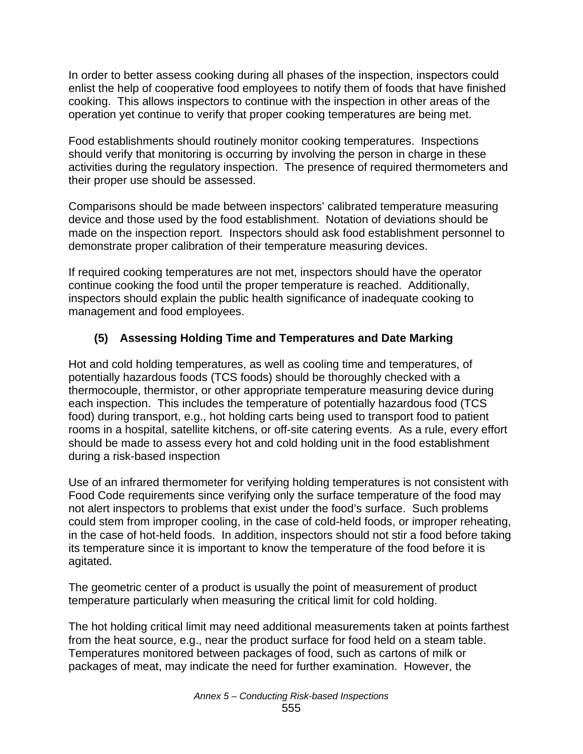In order to better assess cooking during all phases of the inspection, inspectors could enlist the help of cooperative food employees to notify them of foods that have finished cooking. This allows inspectors to continue with the inspection in other areas of the operation yet continue to verify that proper cooking temperatures are being met.

Food establishments should routinely monitor cooking temperatures. Inspections should verify that monitoring is occurring by involving the person in charge in these activities during the regulatory inspection. The presence of required thermometers and their proper use should be assessed.

Comparisons should be made between inspectors' calibrated temperature measuring device and those used by the food establishment. Notation of deviations should be made on the inspection report. Inspectors should ask food establishment personnel to demonstrate proper calibration of their temperature measuring devices.

If required cooking temperatures are not met, inspectors should have the operator continue cooking the food until the proper temperature is reached. Additionally, inspectors should explain the public health significance of inadequate cooking to management and food employees.

# **(5) Assessing Holding Time and Temperatures and Date Marking**

Hot and cold holding temperatures, as well as cooling time and temperatures, of potentially hazardous foods (TCS foods) should be thoroughly checked with a thermocouple, thermistor, or other appropriate temperature measuring device during each inspection. This includes the temperature of potentially hazardous food (TCS food) during transport, e.g., hot holding carts being used to transport food to patient rooms in a hospital, satellite kitchens, or off-site catering events. As a rule, every effort should be made to assess every hot and cold holding unit in the food establishment during a risk-based inspection

Use of an infrared thermometer for verifying holding temperatures is not consistent with Food Code requirements since verifying only the surface temperature of the food may not alert inspectors to problems that exist under the food's surface. Such problems could stem from improper cooling, in the case of cold-held foods, or improper reheating, in the case of hot-held foods. In addition, inspectors should not stir a food before taking its temperature since it is important to know the temperature of the food before it is agitated.

The geometric center of a product is usually the point of measurement of product temperature particularly when measuring the critical limit for cold holding.

The hot holding critical limit may need additional measurements taken at points farthest from the heat source, e.g., near the product surface for food held on a steam table. Temperatures monitored between packages of food, such as cartons of milk or packages of meat, may indicate the need for further examination. However, the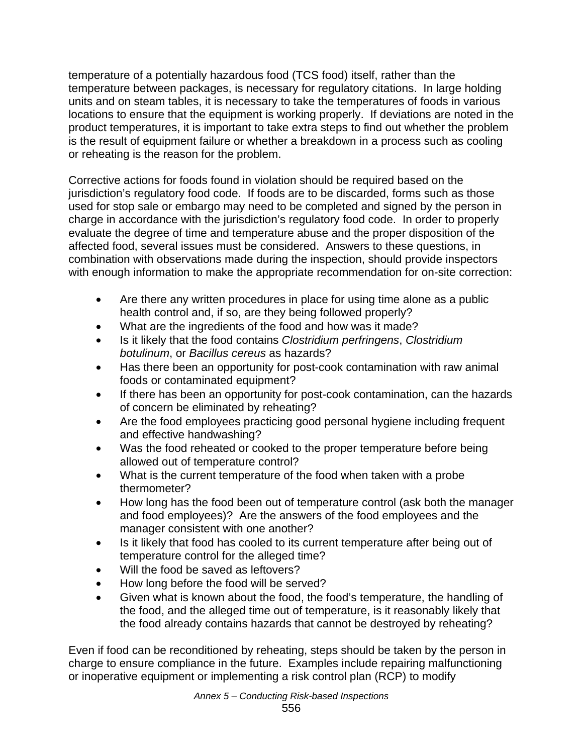temperature of a potentially hazardous food (TCS food) itself, rather than the temperature between packages, is necessary for regulatory citations. In large holding units and on steam tables, it is necessary to take the temperatures of foods in various locations to ensure that the equipment is working properly. If deviations are noted in the product temperatures, it is important to take extra steps to find out whether the problem is the result of equipment failure or whether a breakdown in a process such as cooling or reheating is the reason for the problem.

Corrective actions for foods found in violation should be required based on the jurisdiction's regulatory food code. If foods are to be discarded, forms such as those used for stop sale or embargo may need to be completed and signed by the person in charge in accordance with the jurisdiction's regulatory food code. In order to properly evaluate the degree of time and temperature abuse and the proper disposition of the affected food, several issues must be considered. Answers to these questions, in combination with observations made during the inspection, should provide inspectors with enough information to make the appropriate recommendation for on-site correction:

- Are there any written procedures in place for using time alone as a public health control and, if so, are they being followed properly?
- What are the ingredients of the food and how was it made?
- Is it likely that the food contains *Clostridium perfringens*, *Clostridium botulinum*, or *Bacillus cereus* as hazards?
- Has there been an opportunity for post-cook contamination with raw animal foods or contaminated equipment?
- If there has been an opportunity for post-cook contamination, can the hazards of concern be eliminated by reheating?
- Are the food employees practicing good personal hygiene including frequent and effective handwashing?
- Was the food reheated or cooked to the proper temperature before being allowed out of temperature control?
- What is the current temperature of the food when taken with a probe thermometer?
- How long has the food been out of temperature control (ask both the manager and food employees)? Are the answers of the food employees and the manager consistent with one another?
- Is it likely that food has cooled to its current temperature after being out of temperature control for the alleged time?
- Will the food be saved as leftovers?
- How long before the food will be served?
- Given what is known about the food, the food's temperature, the handling of the food, and the alleged time out of temperature, is it reasonably likely that the food already contains hazards that cannot be destroyed by reheating?

Even if food can be reconditioned by reheating, steps should be taken by the person in charge to ensure compliance in the future. Examples include repairing malfunctioning or inoperative equipment or implementing a risk control plan (RCP) to modify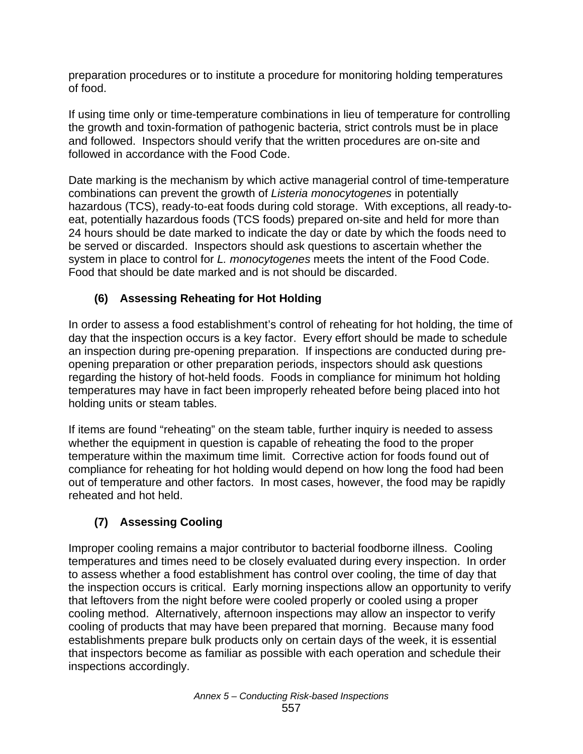preparation procedures or to institute a procedure for monitoring holding temperatures of food.

If using time only or time-temperature combinations in lieu of temperature for controlling the growth and toxin-formation of pathogenic bacteria, strict controls must be in place and followed. Inspectors should verify that the written procedures are on-site and followed in accordance with the Food Code.

Date marking is the mechanism by which active managerial control of time-temperature combinations can prevent the growth of *Listeria monocytogenes* in potentially hazardous (TCS), ready-to-eat foods during cold storage. With exceptions, all ready-toeat, potentially hazardous foods (TCS foods) prepared on-site and held for more than 24 hours should be date marked to indicate the day or date by which the foods need to be served or discarded. Inspectors should ask questions to ascertain whether the system in place to control for *L. monocytogenes* meets the intent of the Food Code. Food that should be date marked and is not should be discarded.

# **(6) Assessing Reheating for Hot Holding**

In order to assess a food establishment's control of reheating for hot holding, the time of day that the inspection occurs is a key factor. Every effort should be made to schedule an inspection during pre-opening preparation. If inspections are conducted during preopening preparation or other preparation periods, inspectors should ask questions regarding the history of hot-held foods. Foods in compliance for minimum hot holding temperatures may have in fact been improperly reheated before being placed into hot holding units or steam tables.

If items are found "reheating" on the steam table, further inquiry is needed to assess whether the equipment in question is capable of reheating the food to the proper temperature within the maximum time limit. Corrective action for foods found out of compliance for reheating for hot holding would depend on how long the food had been out of temperature and other factors. In most cases, however, the food may be rapidly reheated and hot held.

# **(7) Assessing Cooling**

Improper cooling remains a major contributor to bacterial foodborne illness. Cooling temperatures and times need to be closely evaluated during every inspection. In order to assess whether a food establishment has control over cooling, the time of day that the inspection occurs is critical. Early morning inspections allow an opportunity to verify that leftovers from the night before were cooled properly or cooled using a proper cooling method. Alternatively, afternoon inspections may allow an inspector to verify cooling of products that may have been prepared that morning. Because many food establishments prepare bulk products only on certain days of the week, it is essential that inspectors become as familiar as possible with each operation and schedule their inspections accordingly.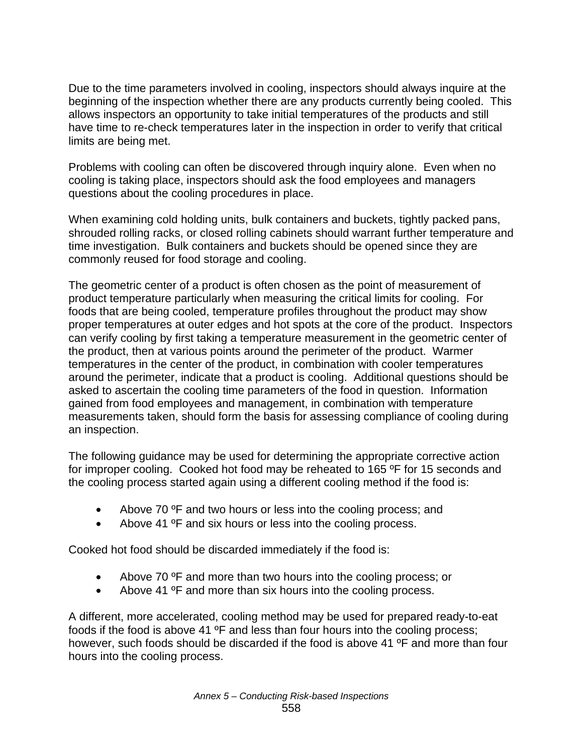Due to the time parameters involved in cooling, inspectors should always inquire at the beginning of the inspection whether there are any products currently being cooled. This allows inspectors an opportunity to take initial temperatures of the products and still have time to re-check temperatures later in the inspection in order to verify that critical limits are being met.

Problems with cooling can often be discovered through inquiry alone. Even when no cooling is taking place, inspectors should ask the food employees and managers questions about the cooling procedures in place.

When examining cold holding units, bulk containers and buckets, tightly packed pans, shrouded rolling racks, or closed rolling cabinets should warrant further temperature and time investigation. Bulk containers and buckets should be opened since they are commonly reused for food storage and cooling.

The geometric center of a product is often chosen as the point of measurement of product temperature particularly when measuring the critical limits for cooling. For foods that are being cooled, temperature profiles throughout the product may show proper temperatures at outer edges and hot spots at the core of the product. Inspectors can verify cooling by first taking a temperature measurement in the geometric center of the product, then at various points around the perimeter of the product. Warmer temperatures in the center of the product, in combination with cooler temperatures around the perimeter, indicate that a product is cooling. Additional questions should be asked to ascertain the cooling time parameters of the food in question. Information gained from food employees and management, in combination with temperature measurements taken, should form the basis for assessing compliance of cooling during an inspection.

The following guidance may be used for determining the appropriate corrective action for improper cooling. Cooked hot food may be reheated to 165 ºF for 15 seconds and the cooling process started again using a different cooling method if the food is:

- Above 70 °F and two hours or less into the cooling process; and
- Above 41 °F and six hours or less into the cooling process.

Cooked hot food should be discarded immediately if the food is:

- Above 70 ºF and more than two hours into the cooling process; or
- Above 41 ºF and more than six hours into the cooling process.

A different, more accelerated, cooling method may be used for prepared ready-to-eat foods if the food is above 41 ºF and less than four hours into the cooling process; however, such foods should be discarded if the food is above 41 ºF and more than four hours into the cooling process.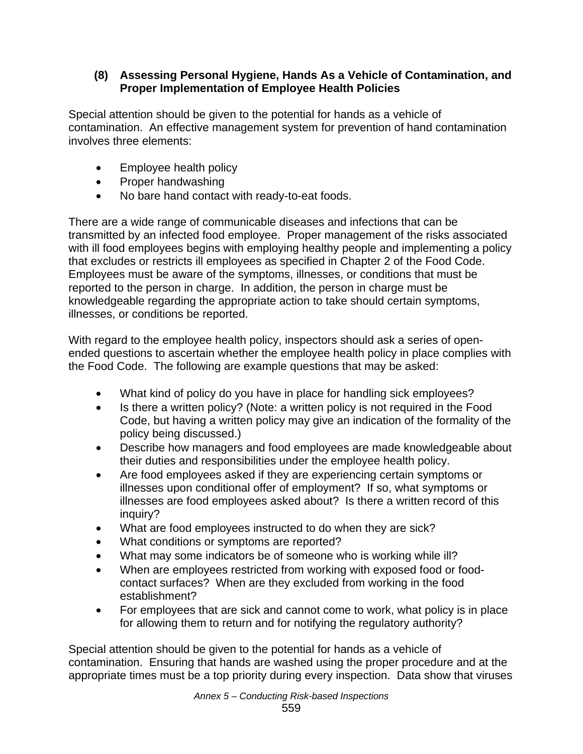#### **(8) Assessing Personal Hygiene, Hands As a Vehicle of Contamination, and Proper Implementation of Employee Health Policies**

Special attention should be given to the potential for hands as a vehicle of contamination. An effective management system for prevention of hand contamination involves three elements:

- Employee health policy
- Proper handwashing
- No bare hand contact with ready-to-eat foods.

There are a wide range of communicable diseases and infections that can be transmitted by an infected food employee. Proper management of the risks associated with ill food employees begins with employing healthy people and implementing a policy that excludes or restricts ill employees as specified in Chapter 2 of the Food Code. Employees must be aware of the symptoms, illnesses, or conditions that must be reported to the person in charge. In addition, the person in charge must be knowledgeable regarding the appropriate action to take should certain symptoms, illnesses, or conditions be reported.

With regard to the employee health policy, inspectors should ask a series of openended questions to ascertain whether the employee health policy in place complies with the Food Code. The following are example questions that may be asked:

- What kind of policy do you have in place for handling sick employees?
- Is there a written policy? (Note: a written policy is not required in the Food Code, but having a written policy may give an indication of the formality of the policy being discussed.)
- Describe how managers and food employees are made knowledgeable about their duties and responsibilities under the employee health policy.
- Are food employees asked if they are experiencing certain symptoms or illnesses upon conditional offer of employment? If so, what symptoms or illnesses are food employees asked about? Is there a written record of this inquiry?
- What are food employees instructed to do when they are sick?
- What conditions or symptoms are reported?
- What may some indicators be of someone who is working while ill?
- When are employees restricted from working with exposed food or foodcontact surfaces? When are they excluded from working in the food establishment?
- For employees that are sick and cannot come to work, what policy is in place for allowing them to return and for notifying the regulatory authority?

Special attention should be given to the potential for hands as a vehicle of contamination. Ensuring that hands are washed using the proper procedure and at the appropriate times must be a top priority during every inspection. Data show that viruses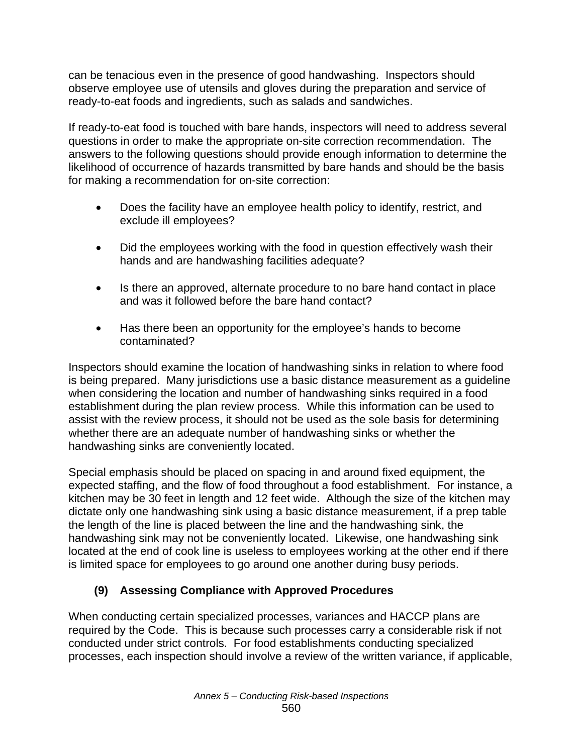can be tenacious even in the presence of good handwashing. Inspectors should observe employee use of utensils and gloves during the preparation and service of ready-to-eat foods and ingredients, such as salads and sandwiches.

If ready-to-eat food is touched with bare hands, inspectors will need to address several questions in order to make the appropriate on-site correction recommendation. The answers to the following questions should provide enough information to determine the likelihood of occurrence of hazards transmitted by bare hands and should be the basis for making a recommendation for on-site correction:

- Does the facility have an employee health policy to identify, restrict, and exclude ill employees?
- Did the employees working with the food in question effectively wash their hands and are handwashing facilities adequate?
- Is there an approved, alternate procedure to no bare hand contact in place and was it followed before the bare hand contact?
- Has there been an opportunity for the employee's hands to become contaminated?

Inspectors should examine the location of handwashing sinks in relation to where food is being prepared. Many jurisdictions use a basic distance measurement as a guideline when considering the location and number of handwashing sinks required in a food establishment during the plan review process. While this information can be used to assist with the review process, it should not be used as the sole basis for determining whether there are an adequate number of handwashing sinks or whether the handwashing sinks are conveniently located.

Special emphasis should be placed on spacing in and around fixed equipment, the expected staffing, and the flow of food throughout a food establishment. For instance, a kitchen may be 30 feet in length and 12 feet wide. Although the size of the kitchen may dictate only one handwashing sink using a basic distance measurement, if a prep table the length of the line is placed between the line and the handwashing sink, the handwashing sink may not be conveniently located. Likewise, one handwashing sink located at the end of cook line is useless to employees working at the other end if there is limited space for employees to go around one another during busy periods.

# **(9) Assessing Compliance with Approved Procedures**

When conducting certain specialized processes, variances and HACCP plans are required by the Code. This is because such processes carry a considerable risk if not conducted under strict controls. For food establishments conducting specialized processes, each inspection should involve a review of the written variance, if applicable,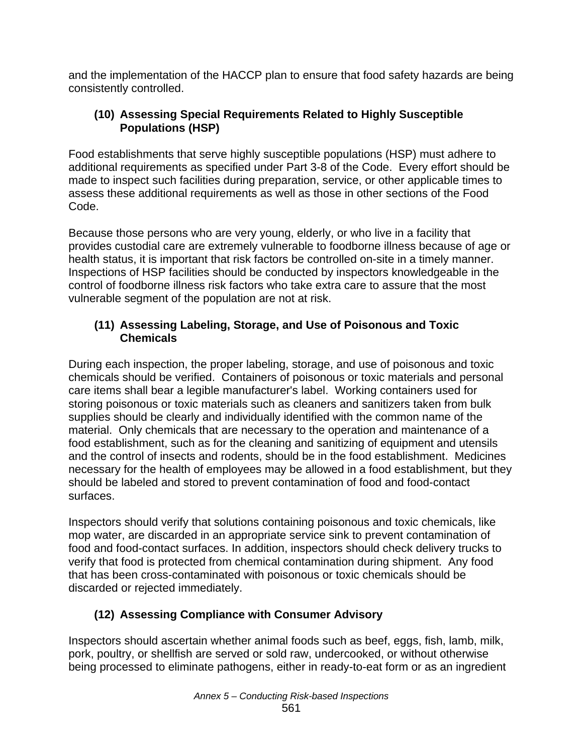and the implementation of the HACCP plan to ensure that food safety hazards are being consistently controlled.

#### **(10) Assessing Special Requirements Related to Highly Susceptible Populations (HSP)**

Food establishments that serve highly susceptible populations (HSP) must adhere to additional requirements as specified under Part 3-8 of the Code. Every effort should be made to inspect such facilities during preparation, service, or other applicable times to assess these additional requirements as well as those in other sections of the Food Code.

Because those persons who are very young, elderly, or who live in a facility that provides custodial care are extremely vulnerable to foodborne illness because of age or health status, it is important that risk factors be controlled on-site in a timely manner. Inspections of HSP facilities should be conducted by inspectors knowledgeable in the control of foodborne illness risk factors who take extra care to assure that the most vulnerable segment of the population are not at risk.

#### **(11) Assessing Labeling, Storage, and Use of Poisonous and Toxic Chemicals**

During each inspection, the proper labeling, storage, and use of poisonous and toxic chemicals should be verified. Containers of poisonous or toxic materials and personal care items shall bear a legible manufacturer's label. Working containers used for storing poisonous or toxic materials such as cleaners and sanitizers taken from bulk supplies should be clearly and individually identified with the common name of the material. Only chemicals that are necessary to the operation and maintenance of a food establishment, such as for the cleaning and sanitizing of equipment and utensils and the control of insects and rodents, should be in the food establishment. Medicines necessary for the health of employees may be allowed in a food establishment, but they should be labeled and stored to prevent contamination of food and food-contact surfaces.

Inspectors should verify that solutions containing poisonous and toxic chemicals, like mop water, are discarded in an appropriate service sink to prevent contamination of food and food-contact surfaces. In addition, inspectors should check delivery trucks to verify that food is protected from chemical contamination during shipment. Any food that has been cross-contaminated with poisonous or toxic chemicals should be discarded or rejected immediately.

# **(12) Assessing Compliance with Consumer Advisory**

Inspectors should ascertain whether animal foods such as beef, eggs, fish, lamb, milk, pork, poultry, or shellfish are served or sold raw, undercooked, or without otherwise being processed to eliminate pathogens, either in ready-to-eat form or as an ingredient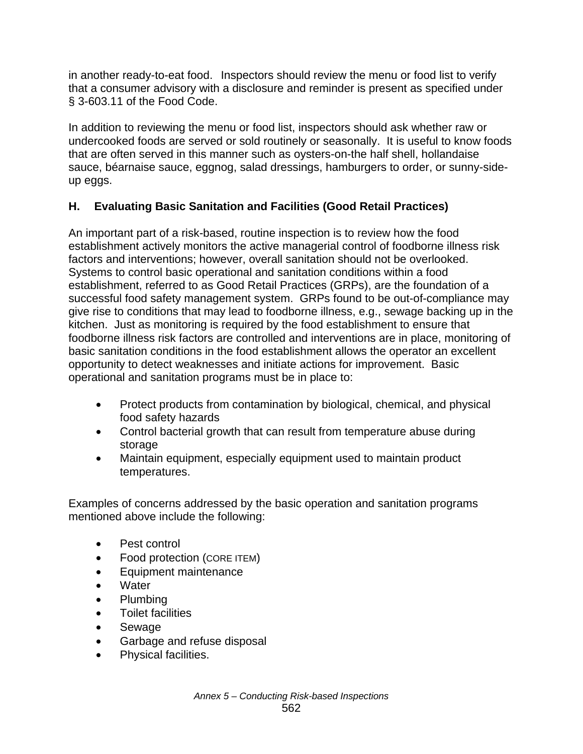in another ready-to-eat food. Inspectors should review the menu or food list to verify that a consumer advisory with a disclosure and reminder is present as specified under § 3-603.11 of the Food Code.

In addition to reviewing the menu or food list, inspectors should ask whether raw or undercooked foods are served or sold routinely or seasonally. It is useful to know foods that are often served in this manner such as oysters-on-the half shell, hollandaise sauce, béarnaise sauce, eggnog, salad dressings, hamburgers to order, or sunny-sideup eggs.

# **H. Evaluating Basic Sanitation and Facilities (Good Retail Practices)**

An important part of a risk-based, routine inspection is to review how the food establishment actively monitors the active managerial control of foodborne illness risk factors and interventions; however, overall sanitation should not be overlooked. Systems to control basic operational and sanitation conditions within a food establishment, referred to as Good Retail Practices (GRPs), are the foundation of a successful food safety management system. GRPs found to be out-of-compliance may give rise to conditions that may lead to foodborne illness, e.g., sewage backing up in the kitchen. Just as monitoring is required by the food establishment to ensure that foodborne illness risk factors are controlled and interventions are in place, monitoring of basic sanitation conditions in the food establishment allows the operator an excellent opportunity to detect weaknesses and initiate actions for improvement. Basic operational and sanitation programs must be in place to:

- Protect products from contamination by biological, chemical, and physical food safety hazards
- Control bacterial growth that can result from temperature abuse during storage
- Maintain equipment, especially equipment used to maintain product temperatures.

Examples of concerns addressed by the basic operation and sanitation programs mentioned above include the following:

- Pest control
- Food protection (CORE ITEM)
- Equipment maintenance
- Water
- Plumbing
- Toilet facilities
- Sewage
- Garbage and refuse disposal
- Physical facilities.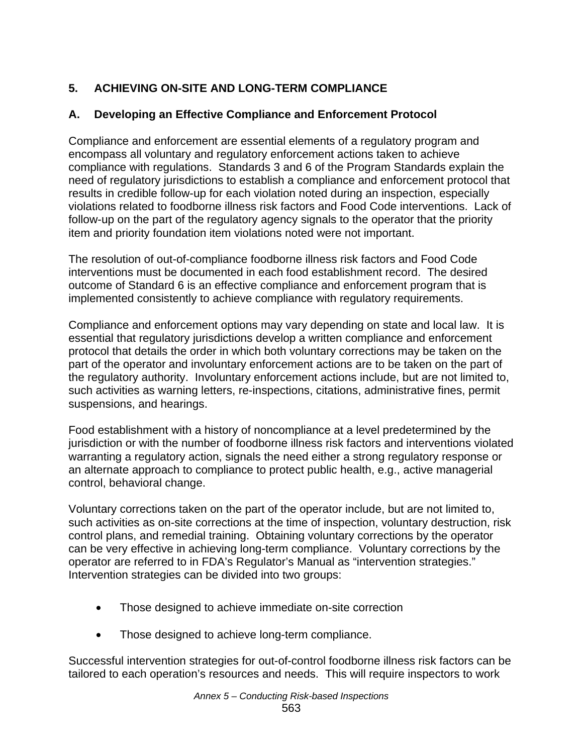# **5. ACHIEVING ON-SITE AND LONG-TERM COMPLIANCE**

# **A. Developing an Effective Compliance and Enforcement Protocol**

Compliance and enforcement are essential elements of a regulatory program and encompass all voluntary and regulatory enforcement actions taken to achieve compliance with regulations. Standards 3 and 6 of the Program Standards explain the need of regulatory jurisdictions to establish a compliance and enforcement protocol that results in credible follow-up for each violation noted during an inspection, especially violations related to foodborne illness risk factors and Food Code interventions. Lack of follow-up on the part of the regulatory agency signals to the operator that the priority item and priority foundation item violations noted were not important.

The resolution of out-of-compliance foodborne illness risk factors and Food Code interventions must be documented in each food establishment record. The desired outcome of Standard 6 is an effective compliance and enforcement program that is implemented consistently to achieve compliance with regulatory requirements.

Compliance and enforcement options may vary depending on state and local law. It is essential that regulatory jurisdictions develop a written compliance and enforcement protocol that details the order in which both voluntary corrections may be taken on the part of the operator and involuntary enforcement actions are to be taken on the part of the regulatory authority. Involuntary enforcement actions include, but are not limited to, such activities as warning letters, re-inspections, citations, administrative fines, permit suspensions, and hearings.

Food establishment with a history of noncompliance at a level predetermined by the jurisdiction or with the number of foodborne illness risk factors and interventions violated warranting a regulatory action, signals the need either a strong regulatory response or an alternate approach to compliance to protect public health, e.g., active managerial control, behavioral change.

Voluntary corrections taken on the part of the operator include, but are not limited to, such activities as on-site corrections at the time of inspection, voluntary destruction, risk control plans, and remedial training. Obtaining voluntary corrections by the operator can be very effective in achieving long-term compliance. Voluntary corrections by the operator are referred to in FDA's Regulator's Manual as "intervention strategies." Intervention strategies can be divided into two groups:

- Those designed to achieve immediate on-site correction
- Those designed to achieve long-term compliance.

Successful intervention strategies for out-of-control foodborne illness risk factors can be tailored to each operation's resources and needs. This will require inspectors to work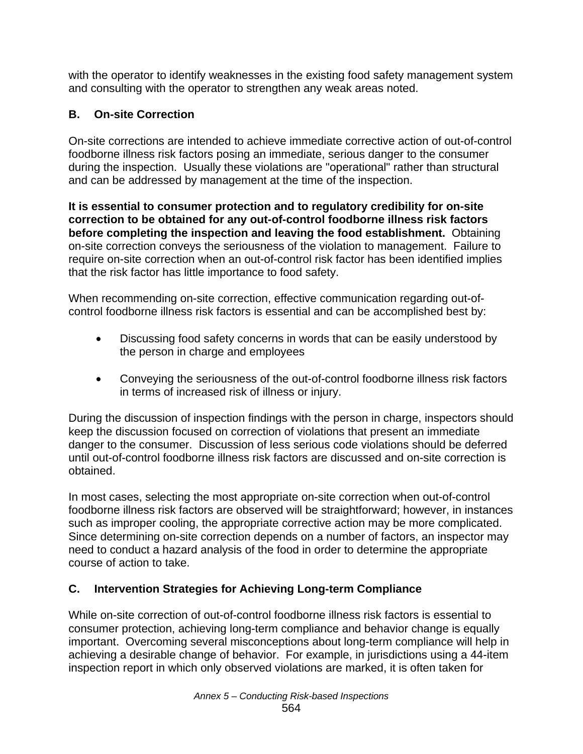with the operator to identify weaknesses in the existing food safety management system and consulting with the operator to strengthen any weak areas noted.

# **B. On-site Correction**

On-site corrections are intended to achieve immediate corrective action of out-of-control foodborne illness risk factors posing an immediate, serious danger to the consumer during the inspection. Usually these violations are "operational" rather than structural and can be addressed by management at the time of the inspection.

**It is essential to consumer protection and to regulatory credibility for on-site correction to be obtained for any out-of-control foodborne illness risk factors before completing the inspection and leaving the food establishment.** Obtaining on-site correction conveys the seriousness of the violation to management. Failure to require on-site correction when an out-of-control risk factor has been identified implies that the risk factor has little importance to food safety.

When recommending on-site correction, effective communication regarding out-ofcontrol foodborne illness risk factors is essential and can be accomplished best by:

- Discussing food safety concerns in words that can be easily understood by the person in charge and employees
- Conveying the seriousness of the out-of-control foodborne illness risk factors in terms of increased risk of illness or injury.

During the discussion of inspection findings with the person in charge, inspectors should keep the discussion focused on correction of violations that present an immediate danger to the consumer. Discussion of less serious code violations should be deferred until out-of-control foodborne illness risk factors are discussed and on-site correction is obtained.

In most cases, selecting the most appropriate on-site correction when out-of-control foodborne illness risk factors are observed will be straightforward; however, in instances such as improper cooling, the appropriate corrective action may be more complicated. Since determining on-site correction depends on a number of factors, an inspector may need to conduct a hazard analysis of the food in order to determine the appropriate course of action to take.

# **C. Intervention Strategies for Achieving Long-term Compliance**

While on-site correction of out-of-control foodborne illness risk factors is essential to consumer protection, achieving long-term compliance and behavior change is equally important. Overcoming several misconceptions about long-term compliance will help in achieving a desirable change of behavior. For example, in jurisdictions using a 44-item inspection report in which only observed violations are marked, it is often taken for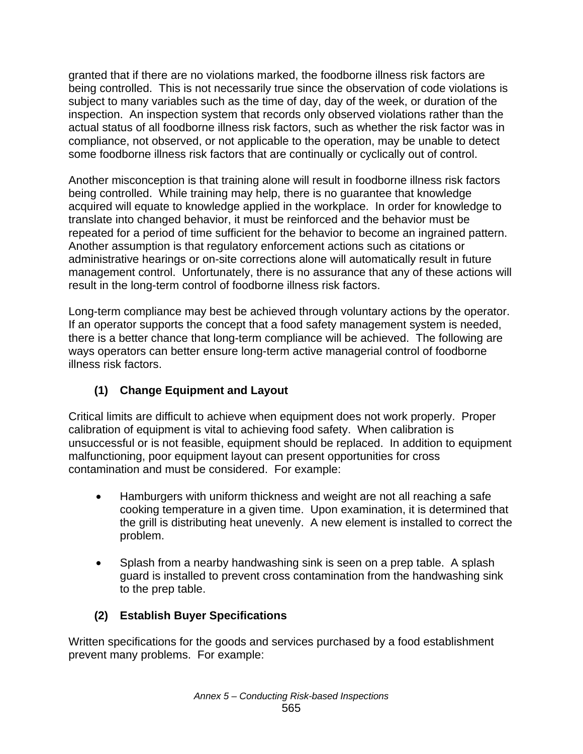granted that if there are no violations marked, the foodborne illness risk factors are being controlled. This is not necessarily true since the observation of code violations is subject to many variables such as the time of day, day of the week, or duration of the inspection. An inspection system that records only observed violations rather than the actual status of all foodborne illness risk factors, such as whether the risk factor was in compliance, not observed, or not applicable to the operation, may be unable to detect some foodborne illness risk factors that are continually or cyclically out of control.

Another misconception is that training alone will result in foodborne illness risk factors being controlled. While training may help, there is no guarantee that knowledge acquired will equate to knowledge applied in the workplace. In order for knowledge to translate into changed behavior, it must be reinforced and the behavior must be repeated for a period of time sufficient for the behavior to become an ingrained pattern. Another assumption is that regulatory enforcement actions such as citations or administrative hearings or on-site corrections alone will automatically result in future management control. Unfortunately, there is no assurance that any of these actions will result in the long-term control of foodborne illness risk factors.

Long-term compliance may best be achieved through voluntary actions by the operator. If an operator supports the concept that a food safety management system is needed, there is a better chance that long-term compliance will be achieved. The following are ways operators can better ensure long-term active managerial control of foodborne illness risk factors.

# **(1) Change Equipment and Layout**

Critical limits are difficult to achieve when equipment does not work properly. Proper calibration of equipment is vital to achieving food safety. When calibration is unsuccessful or is not feasible, equipment should be replaced. In addition to equipment malfunctioning, poor equipment layout can present opportunities for cross contamination and must be considered. For example:

- Hamburgers with uniform thickness and weight are not all reaching a safe cooking temperature in a given time. Upon examination, it is determined that the grill is distributing heat unevenly. A new element is installed to correct the problem.
- Splash from a nearby handwashing sink is seen on a prep table. A splash guard is installed to prevent cross contamination from the handwashing sink to the prep table.

# **(2) Establish Buyer Specifications**

Written specifications for the goods and services purchased by a food establishment prevent many problems. For example: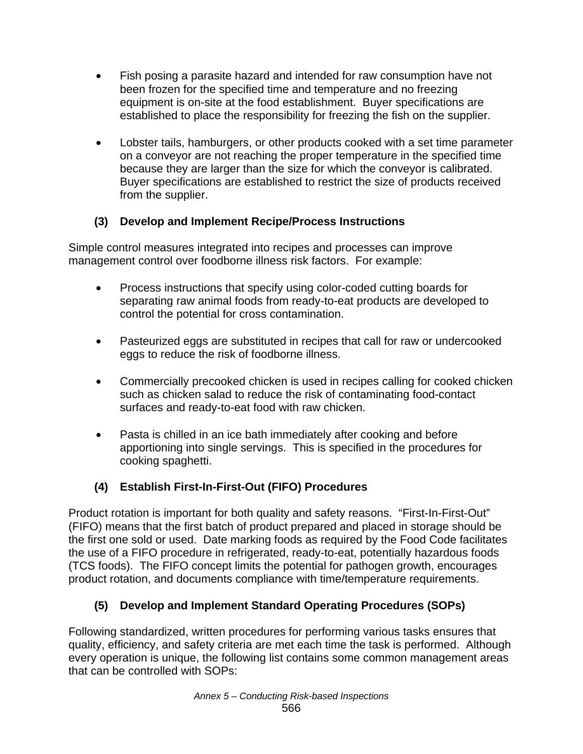- Fish posing a parasite hazard and intended for raw consumption have not been frozen for the specified time and temperature and no freezing equipment is on-site at the food establishment. Buyer specifications are established to place the responsibility for freezing the fish on the supplier.
- Lobster tails, hamburgers, or other products cooked with a set time parameter on a conveyor are not reaching the proper temperature in the specified time because they are larger than the size for which the conveyor is calibrated. Buyer specifications are established to restrict the size of products received from the supplier.

# **(3) Develop and Implement Recipe/Process Instructions**

Simple control measures integrated into recipes and processes can improve management control over foodborne illness risk factors. For example:

- Process instructions that specify using color-coded cutting boards for separating raw animal foods from ready-to-eat products are developed to control the potential for cross contamination.
- Pasteurized eggs are substituted in recipes that call for raw or undercooked eggs to reduce the risk of foodborne illness.
- Commercially precooked chicken is used in recipes calling for cooked chicken such as chicken salad to reduce the risk of contaminating food-contact surfaces and ready-to-eat food with raw chicken.
- Pasta is chilled in an ice bath immediately after cooking and before apportioning into single servings. This is specified in the procedures for cooking spaghetti.

# **(4) Establish First-In-First-Out (FIFO) Procedures**

Product rotation is important for both quality and safety reasons. "First-In-First-Out" (FIFO) means that the first batch of product prepared and placed in storage should be the first one sold or used. Date marking foods as required by the Food Code facilitates the use of a FIFO procedure in refrigerated, ready-to-eat, potentially hazardous foods (TCS foods). The FIFO concept limits the potential for pathogen growth, encourages product rotation, and documents compliance with time/temperature requirements.

# **(5) Develop and Implement Standard Operating Procedures (SOPs)**

Following standardized, written procedures for performing various tasks ensures that quality, efficiency, and safety criteria are met each time the task is performed. Although every operation is unique, the following list contains some common management areas that can be controlled with SOPs: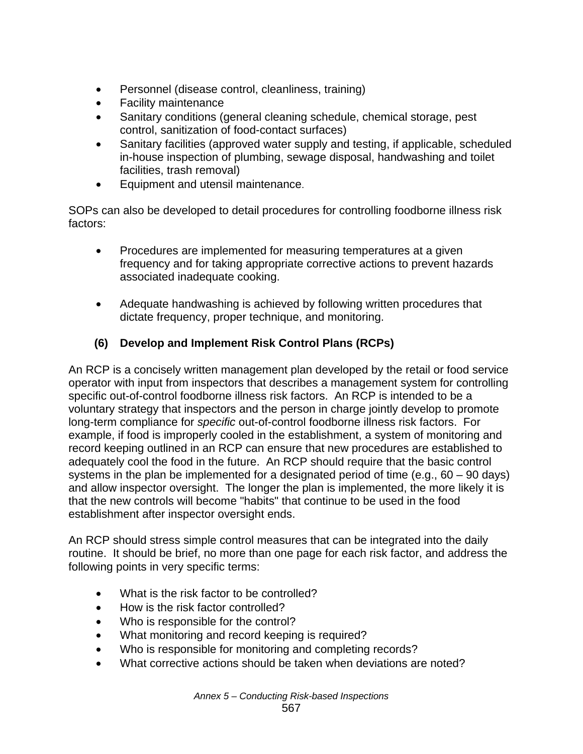- Personnel (disease control, cleanliness, training)
- Facility maintenance
- Sanitary conditions (general cleaning schedule, chemical storage, pest control, sanitization of food-contact surfaces)
- Sanitary facilities (approved water supply and testing, if applicable, scheduled in-house inspection of plumbing, sewage disposal, handwashing and toilet facilities, trash removal)
- Equipment and utensil maintenance.

SOPs can also be developed to detail procedures for controlling foodborne illness risk factors:

- Procedures are implemented for measuring temperatures at a given frequency and for taking appropriate corrective actions to prevent hazards associated inadequate cooking.
- Adequate handwashing is achieved by following written procedures that dictate frequency, proper technique, and monitoring.

# **(6) Develop and Implement Risk Control Plans (RCPs)**

An RCP is a concisely written management plan developed by the retail or food service operator with input from inspectors that describes a management system for controlling specific out-of-control foodborne illness risk factors. An RCP is intended to be a voluntary strategy that inspectors and the person in charge jointly develop to promote long-term compliance for *specific* out-of-control foodborne illness risk factors. For example, if food is improperly cooled in the establishment, a system of monitoring and record keeping outlined in an RCP can ensure that new procedures are established to adequately cool the food in the future. An RCP should require that the basic control systems in the plan be implemented for a designated period of time (e.g.,  $60 - 90$  days) and allow inspector oversight. The longer the plan is implemented, the more likely it is that the new controls will become "habits" that continue to be used in the food establishment after inspector oversight ends.

An RCP should stress simple control measures that can be integrated into the daily routine. It should be brief, no more than one page for each risk factor, and address the following points in very specific terms:

- What is the risk factor to be controlled?
- How is the risk factor controlled?
- Who is responsible for the control?
- What monitoring and record keeping is required?
- Who is responsible for monitoring and completing records?
- What corrective actions should be taken when deviations are noted?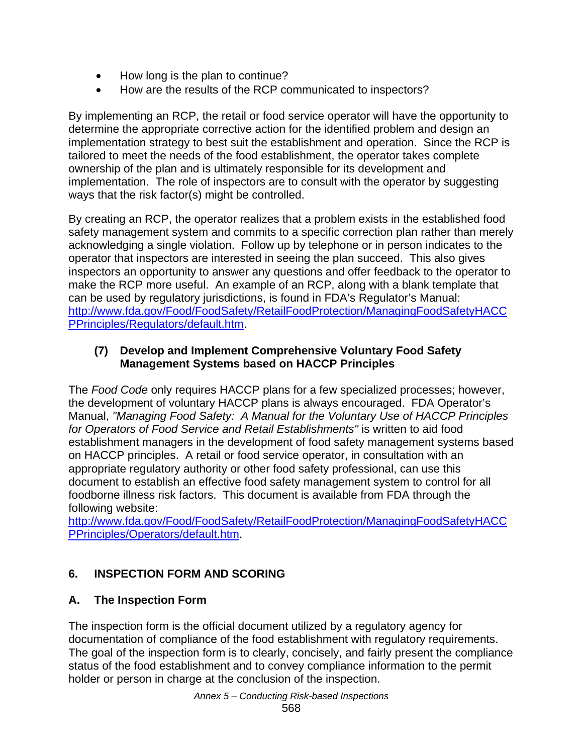- How long is the plan to continue?
- How are the results of the RCP communicated to inspectors?

By implementing an RCP, the retail or food service operator will have the opportunity to determine the appropriate corrective action for the identified problem and design an implementation strategy to best suit the establishment and operation. Since the RCP is tailored to meet the needs of the food establishment, the operator takes complete ownership of the plan and is ultimately responsible for its development and implementation. The role of inspectors are to consult with the operator by suggesting ways that the risk factor(s) might be controlled.

By creating an RCP, the operator realizes that a problem exists in the established food safety management system and commits to a specific correction plan rather than merely acknowledging a single violation. Follow up by telephone or in person indicates to the operator that inspectors are interested in seeing the plan succeed. This also gives inspectors an opportunity to answer any questions and offer feedback to the operator to make the RCP more useful. An example of an RCP, along with a blank template that can be used by regulatory jurisdictions, is found in FDA's Regulator's Manual: http://www.fda.gov/Food/FoodSafety/RetailFoodProtection/ManagingFoodSafetyHACC PPrinciples/Regulators/default.htm.

#### **(7) Develop and Implement Comprehensive Voluntary Food Safety Management Systems based on HACCP Principles**

The *Food Code* only requires HACCP plans for a few specialized processes; however, the development of voluntary HACCP plans is always encouraged. FDA Operator's Manual, *"Managing Food Safety: A Manual for the Voluntary Use of HACCP Principles for Operators of Food Service and Retail Establishments"* is written to aid food establishment managers in the development of food safety management systems based on HACCP principles. A retail or food service operator, in consultation with an appropriate regulatory authority or other food safety professional, can use this document to establish an effective food safety management system to control for all foodborne illness risk factors. This document is available from FDA through the following website:

http://www.fda.gov/Food/FoodSafety/RetailFoodProtection/ManagingFoodSafetyHACC PPrinciples/Operators/default.htm.

# **6. INSPECTION FORM AND SCORING**

# **A. The Inspection Form**

The inspection form is the official document utilized by a regulatory agency for documentation of compliance of the food establishment with regulatory requirements. The goal of the inspection form is to clearly, concisely, and fairly present the compliance status of the food establishment and to convey compliance information to the permit holder or person in charge at the conclusion of the inspection.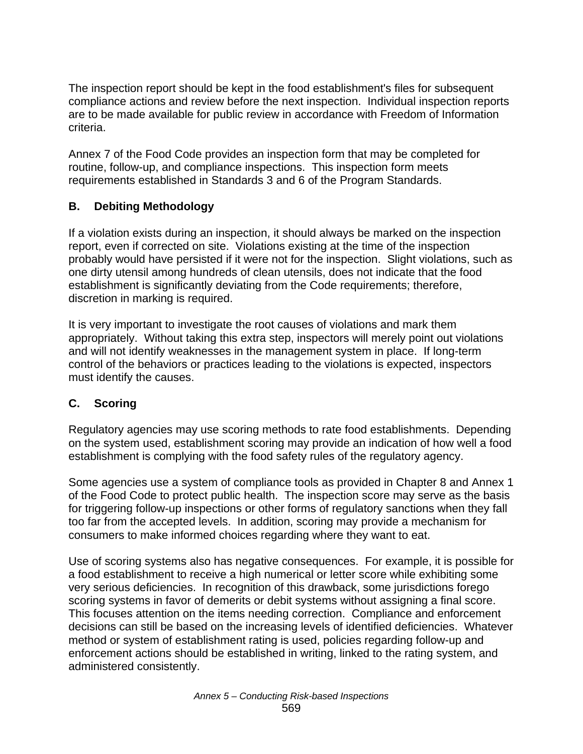The inspection report should be kept in the food establishment's files for subsequent compliance actions and review before the next inspection. Individual inspection reports are to be made available for public review in accordance with Freedom of Information criteria.

Annex 7 of the Food Code provides an inspection form that may be completed for routine, follow-up, and compliance inspections. This inspection form meets requirements established in Standards 3 and 6 of the Program Standards.

#### **B. Debiting Methodology**

If a violation exists during an inspection, it should always be marked on the inspection report, even if corrected on site. Violations existing at the time of the inspection probably would have persisted if it were not for the inspection. Slight violations, such as one dirty utensil among hundreds of clean utensils, does not indicate that the food establishment is significantly deviating from the Code requirements; therefore, discretion in marking is required.

It is very important to investigate the root causes of violations and mark them appropriately. Without taking this extra step, inspectors will merely point out violations and will not identify weaknesses in the management system in place. If long-term control of the behaviors or practices leading to the violations is expected, inspectors must identify the causes.

# **C. Scoring**

Regulatory agencies may use scoring methods to rate food establishments. Depending on the system used, establishment scoring may provide an indication of how well a food establishment is complying with the food safety rules of the regulatory agency.

Some agencies use a system of compliance tools as provided in Chapter 8 and Annex 1 of the Food Code to protect public health. The inspection score may serve as the basis for triggering follow-up inspections or other forms of regulatory sanctions when they fall too far from the accepted levels. In addition, scoring may provide a mechanism for consumers to make informed choices regarding where they want to eat.

Use of scoring systems also has negative consequences. For example, it is possible for a food establishment to receive a high numerical or letter score while exhibiting some very serious deficiencies. In recognition of this drawback, some jurisdictions forego scoring systems in favor of demerits or debit systems without assigning a final score. This focuses attention on the items needing correction. Compliance and enforcement decisions can still be based on the increasing levels of identified deficiencies. Whatever method or system of establishment rating is used, policies regarding follow-up and enforcement actions should be established in writing, linked to the rating system, and administered consistently.